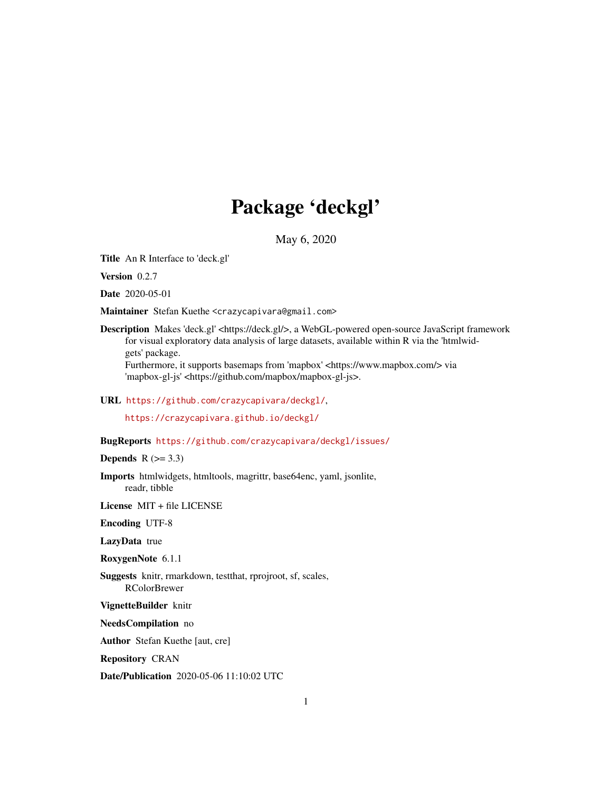# Package 'deckgl'

May 6, 2020

<span id="page-0-0"></span>Title An R Interface to 'deck.gl'

Version 0.2.7

Date 2020-05-01

Maintainer Stefan Kuethe <crazycapivara@gmail.com>

Description Makes 'deck.gl' <https://deck.gl/>, a WebGL-powered open-source JavaScript framework for visual exploratory data analysis of large datasets, available within R via the 'htmlwidgets' package. Furthermore, it supports basemaps from 'mapbox' <https://www.mapbox.com/> via

'mapbox-gl-js' <https://github.com/mapbox/mapbox-gl-js>.

### URL <https://github.com/crazycapivara/deckgl/>,

<https://crazycapivara.github.io/deckgl/>

### BugReports <https://github.com/crazycapivara/deckgl/issues/>

### **Depends**  $R$  ( $>= 3.3$ )

Imports htmlwidgets, htmltools, magrittr, base64enc, yaml, jsonlite, readr, tibble

License MIT + file LICENSE

Encoding UTF-8

LazyData true

RoxygenNote 6.1.1

Suggests knitr, rmarkdown, testthat, rprojroot, sf, scales, RColorBrewer

VignetteBuilder knitr

NeedsCompilation no

Author Stefan Kuethe [aut, cre]

Repository CRAN

Date/Publication 2020-05-06 11:10:02 UTC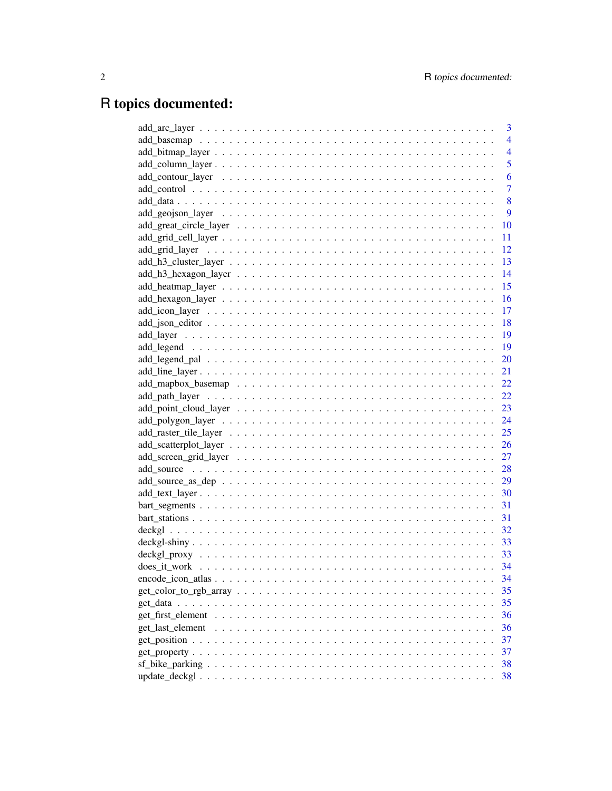# R topics documented:

|                                                                                                                 | 3              |
|-----------------------------------------------------------------------------------------------------------------|----------------|
|                                                                                                                 | $\overline{4}$ |
|                                                                                                                 | $\overline{4}$ |
|                                                                                                                 | 5              |
|                                                                                                                 | 6              |
|                                                                                                                 | $\overline{7}$ |
|                                                                                                                 | 8              |
|                                                                                                                 | 9              |
|                                                                                                                 | 10             |
|                                                                                                                 | 11             |
|                                                                                                                 | 12             |
|                                                                                                                 | 13             |
|                                                                                                                 | 14             |
|                                                                                                                 | 15             |
|                                                                                                                 | 16             |
|                                                                                                                 | 17             |
|                                                                                                                 | <sup>18</sup>  |
|                                                                                                                 |                |
|                                                                                                                 | 19             |
|                                                                                                                 |                |
|                                                                                                                 |                |
|                                                                                                                 |                |
|                                                                                                                 |                |
|                                                                                                                 |                |
|                                                                                                                 |                |
|                                                                                                                 |                |
|                                                                                                                 |                |
|                                                                                                                 | 27             |
|                                                                                                                 |                |
|                                                                                                                 |                |
|                                                                                                                 |                |
|                                                                                                                 |                |
|                                                                                                                 | 31             |
|                                                                                                                 |                |
|                                                                                                                 |                |
|                                                                                                                 |                |
|                                                                                                                 | 34             |
| $encode\_icon\_atlas \dots \dots \dots \dots \dots \dots \dots \dots \dots \dots \dots \dots \dots \dots \dots$ | 34             |
| $get\_color_to\_rgb\_array \dots \dots \dots \dots \dots \dots \dots \dots \dots \dots \dots \dots \dots \dots$ | 35             |
|                                                                                                                 | 35             |
|                                                                                                                 | 36             |
| get last element                                                                                                | 36             |
|                                                                                                                 | 37             |
|                                                                                                                 | 37             |
|                                                                                                                 | 38             |
|                                                                                                                 | 38             |
|                                                                                                                 |                |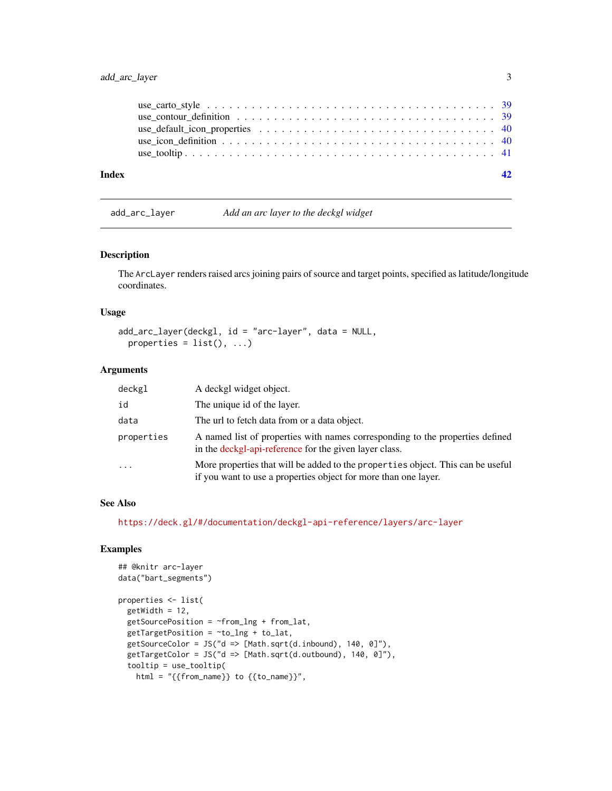### <span id="page-2-0"></span>add\_arc\_layer 3

| Index |  |
|-------|--|
|       |  |
|       |  |
|       |  |

add\_arc\_layer *Add an arc layer to the deckgl widget*

#### Description

The ArcLayer renders raised arcs joining pairs of source and target points, specified as latitude/longitude coordinates.

### Usage

```
add_arc_layer(deckgl, id = "arc-layer", data = NULL,
 properties = list(), ...)
```
### Arguments

| deckgl     | A deckgl widget object.                                                                                                                            |
|------------|----------------------------------------------------------------------------------------------------------------------------------------------------|
| id         | The unique id of the layer.                                                                                                                        |
| data       | The url to fetch data from or a data object.                                                                                                       |
| properties | A named list of properties with names corresponding to the properties defined<br>in the deckgl-api-reference for the given layer class.            |
| $\cdots$   | More properties that will be added to the properties object. This can be useful<br>if you want to use a properties object for more than one layer. |

#### See Also

<https://deck.gl/#/documentation/deckgl-api-reference/layers/arc-layer>

```
## @knitr arc-layer
data("bart_segments")
properties <- list(
  getWidth = 12,
  getSourcePosition = \neg from\_Ing + from\_lat,getTargetPosition = ~to_lng + to_lat,
  getSourceColor = JS("d => [Math.sqrt(d.inbound), 140, 0]"),getTargetColor = JS("d => [Math.sqrt(d.outbound), 140, 0]"),
  tooltip = use_tooltip(
   html = "{{from_name}} to {{to_name}}",
```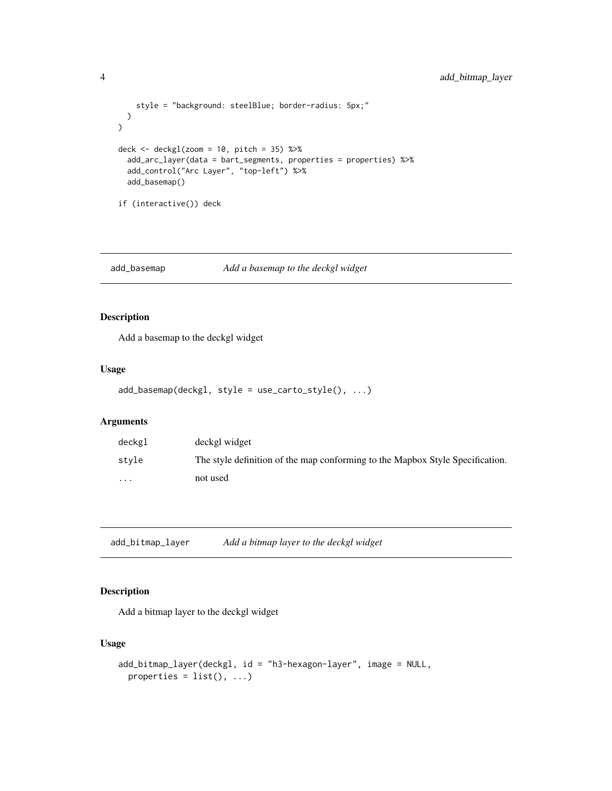```
style = "background: steelBlue; border-radius: 5px;"
 )
\mathcal{L}deck \le deckgl(zoom = 10, pitch = 35) %>%
  add_arc_layer(data = bart_segments, properties = properties) %>%
  add_control("Arc Layer", "top-left") %>%
  add_basemap()
if (interactive()) deck
```
add\_basemap *Add a basemap to the deckgl widget*

## Description

Add a basemap to the deckgl widget

### Usage

```
add_basemap(deckgl, style = use_carto_style(), ...)
```
#### Arguments

| deckgl  | deckgl widget                                                                 |
|---------|-------------------------------------------------------------------------------|
| stvle   | The style definition of the map conforming to the Mapbox Style Specification. |
| $\cdot$ | not used                                                                      |

add\_bitmap\_layer *Add a bitmap layer to the deckgl widget*

### Description

Add a bitmap layer to the deckgl widget

### Usage

```
add_bitmap_layer(deckgl, id = "h3-hexagon-layer", image = NULL,
 properties = list(), ...)
```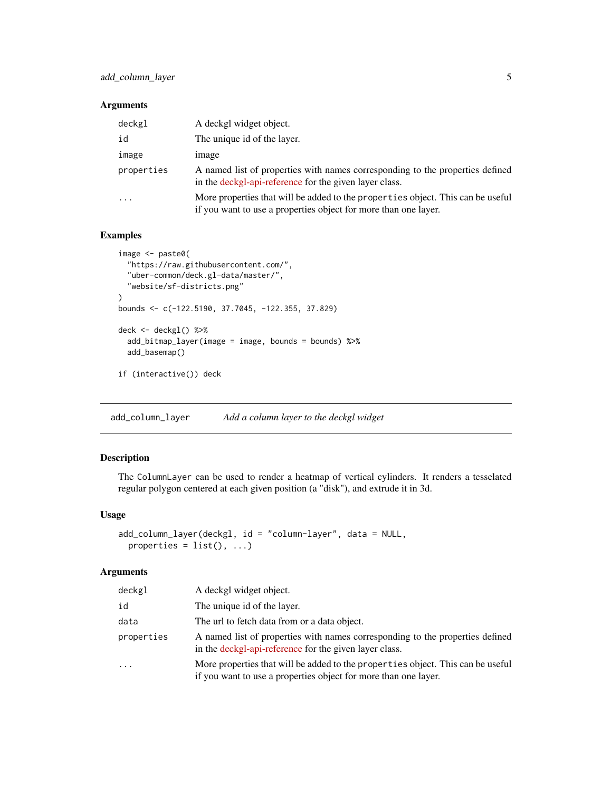### <span id="page-4-0"></span>Arguments

| deckgl     | A deckgl widget object.                                                                                                                            |
|------------|----------------------------------------------------------------------------------------------------------------------------------------------------|
| id         | The unique id of the layer.                                                                                                                        |
| image      | <i>image</i>                                                                                                                                       |
| properties | A named list of properties with names corresponding to the properties defined<br>in the deckgl-api-reference for the given layer class.            |
| $\ddotsc$  | More properties that will be added to the properties object. This can be useful<br>if you want to use a properties object for more than one layer. |

### Examples

```
image <- paste0(
  "https://raw.githubusercontent.com/",
  "uber-common/deck.gl-data/master/",
  "website/sf-districts.png"
)
bounds <- c(-122.5190, 37.7045, -122.355, 37.829)
deck <- deckgl() %>%
  add_bitmap_layer(image = image, bounds = bounds) %>%
  add_basemap()
if (interactive()) deck
```
add\_column\_layer *Add a column layer to the deckgl widget*

### Description

The ColumnLayer can be used to render a heatmap of vertical cylinders. It renders a tesselated regular polygon centered at each given position (a "disk"), and extrude it in 3d.

### Usage

```
add_column_layer(deckgl, id = "column-layer", data = NULL,
 properties = list(), ...)
```

| deckgl     | A deckgl widget object.                                                                                                                            |
|------------|----------------------------------------------------------------------------------------------------------------------------------------------------|
| id         | The unique id of the layer.                                                                                                                        |
| data       | The url to fetch data from or a data object.                                                                                                       |
| properties | A named list of properties with names corresponding to the properties defined<br>in the deckgl-api-reference for the given layer class.            |
| $\cdot$    | More properties that will be added to the properties object. This can be useful<br>if you want to use a properties object for more than one layer. |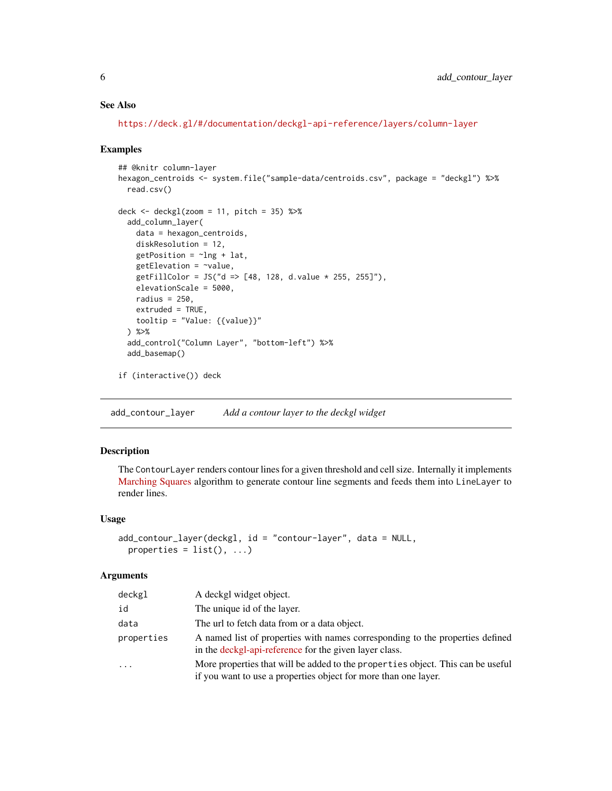### See Also

<https://deck.gl/#/documentation/deckgl-api-reference/layers/column-layer>

#### Examples

```
## @knitr column-layer
hexagon_centroids <- system.file("sample-data/centroids.csv", package = "deckgl") %>%
  read.csv()
deck \leq deckgl(zoom = 11, pitch = 35) %>%
  add_column_layer(
   data = hexagon_centroids,
   diskResolution = 12,
   getPosition = ~1ng + lat,getElevation = \sim value,
   getFillColor = JS("d => [48, 128, d.value * 255, 255]"),
   elevationScale = 5000,
   radius = 250.
   extruded = TRUE,tooltip = "Value: ({value})'') %>%
  add_control("Column Layer", "bottom-left") %>%
  add_basemap()
if (interactive()) deck
```
add\_contour\_layer *Add a contour layer to the deckgl widget*

### Description

The ContourLayer renders contour lines for a given threshold and cell size. Internally it implements [Marching Squares](https://en.wikipedia.org/wiki/Marching_squares) algorithm to generate contour line segments and feeds them into LineLayer to render lines.

#### Usage

```
add_contour_layer(deckgl, id = "contour-layer", data = NULL,
 properties = list(), ...)
```

| deckgl     | A deckgl widget object.                                                                                                                            |
|------------|----------------------------------------------------------------------------------------------------------------------------------------------------|
| id         | The unique id of the layer.                                                                                                                        |
| data       | The url to fetch data from or a data object.                                                                                                       |
| properties | A named list of properties with names corresponding to the properties defined<br>in the deckgl-api-reference for the given layer class.            |
| $\ddots$   | More properties that will be added to the properties object. This can be useful<br>if you want to use a properties object for more than one layer. |

<span id="page-5-0"></span>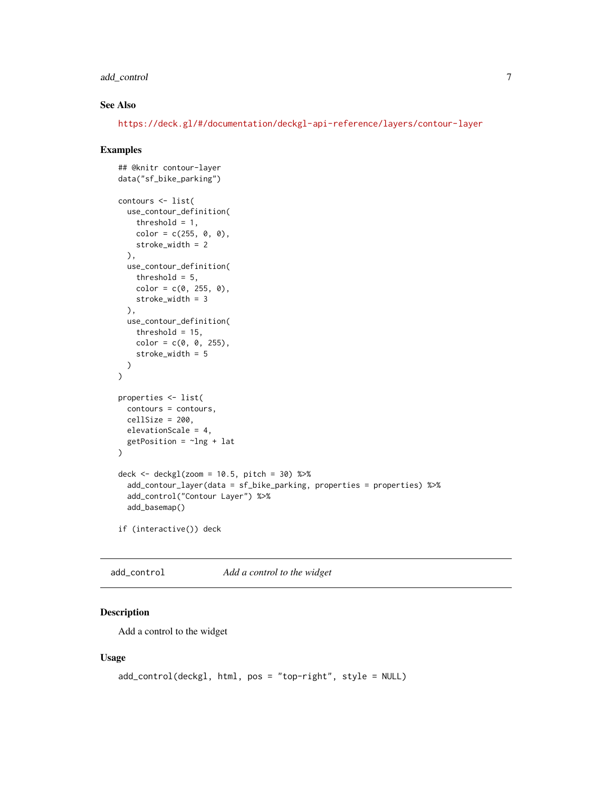### <span id="page-6-0"></span>add\_control 7

### See Also

<https://deck.gl/#/documentation/deckgl-api-reference/layers/contour-layer>

#### Examples

```
## @knitr contour-layer
data("sf_bike_parking")
contours <- list(
 use_contour_definition(
    threshold = 1,
    color = c(255, 0, 0),
    stroke_width = 2
  ),
  use_contour_definition(
    threshold = 5,
    color = c(0, 255, 0),
    stroke_width = 3
  ),
  use_contour_definition(
    threshold = 15,
    color = c(0, 0, 255),
    stroke_width = 5
  )
\mathcal{L}properties <- list(
  contours = contours,
  cellSize = 200,elevationScale = 4,
  getPosition = \simlng + lat
\mathcal{L}deck <- deckgl(zoom = 10.5, pitch = 30) %>%
  add_contour_layer(data = sf_bike_parking, properties = properties) %>%
  add_control("Contour Layer") %>%
  add_basemap()
if (interactive()) deck
```
add\_control *Add a control to the widget*

### Description

Add a control to the widget

#### Usage

```
add_control(deckgl, html, pos = "top-right", style = NULL)
```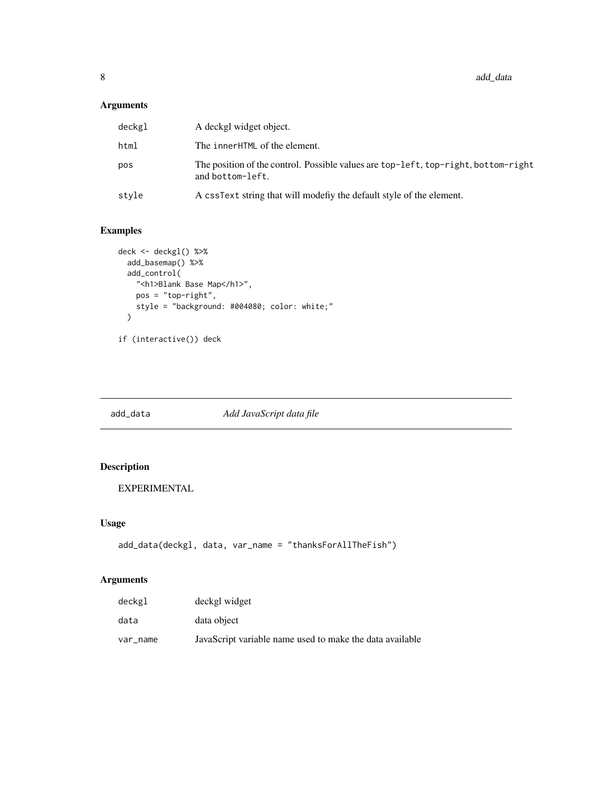<span id="page-7-0"></span>8 add\_data and  $\frac{1}{2}$  and  $\frac{1}{2}$  and  $\frac{1}{2}$  and  $\frac{1}{2}$  and  $\frac{1}{2}$  and  $\frac{1}{2}$  and  $\frac{1}{2}$  and  $\frac{1}{2}$  and  $\frac{1}{2}$  and  $\frac{1}{2}$  and  $\frac{1}{2}$  and  $\frac{1}{2}$  and  $\frac{1}{2}$  and  $\frac{1}{2}$  and  $\frac{1}{2}$  a

### Arguments

| deckgl | A deckgl widget object.                                                                                |
|--------|--------------------------------------------------------------------------------------------------------|
| html   | The innerHTML of the element.                                                                          |
| pos    | The position of the control. Possible values are top-left, top-right, bottom-right<br>and bottom-left. |
| stvle  | A cssText string that will modefly the default style of the element.                                   |

### Examples

```
deck <- deckgl() %>%
 add_basemap() %>%
  add_control(
   "<h1>Blank Base Map</h1>",
   pos = "top-right",
    style = "background: #004080; color: white;"
  \mathcal{L}if (interactive()) deck
```
<span id="page-7-1"></span>add\_data *Add JavaScript data file*

### Description

EXPERIMENTAL

### Usage

```
add_data(deckgl, data, var_name = "thanksForAllTheFish")
```

| deckgl   | deckgl widget                                            |
|----------|----------------------------------------------------------|
| data     | data object                                              |
| var name | JavaScript variable name used to make the data available |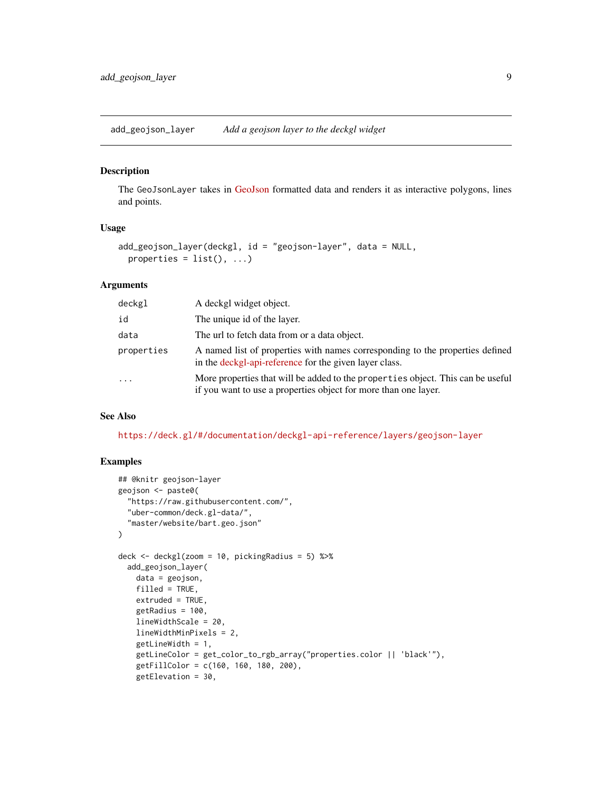<span id="page-8-0"></span>add\_geojson\_layer *Add a geojson layer to the deckgl widget*

#### Description

The GeoJsonLayer takes in [GeoJson](http://geojson.org) formatted data and renders it as interactive polygons, lines and points.

#### Usage

```
add_geojson_layer(deckgl, id = "geojson-layer", data = NULL,
 properties = list(), ...)
```
#### Arguments

| deckgl     | A deckgl widget object.                                                                                                                            |
|------------|----------------------------------------------------------------------------------------------------------------------------------------------------|
| id         | The unique id of the layer.                                                                                                                        |
| data       | The url to fetch data from or a data object.                                                                                                       |
| properties | A named list of properties with names corresponding to the properties defined<br>in the deckgl-api-reference for the given layer class.            |
| $\cdots$   | More properties that will be added to the properties object. This can be useful<br>if you want to use a properties object for more than one layer. |

#### See Also

<https://deck.gl/#/documentation/deckgl-api-reference/layers/geojson-layer>

```
## @knitr geojson-layer
geojson <- paste0(
  "https://raw.githubusercontent.com/",
 "uber-common/deck.gl-data/",
  "master/website/bart.geo.json"
\lambdadeck \leq deckgl(zoom = 10, picking Radius = 5) %>%
 add_geojson_layer(
   data = geojson,
   filled = TRUE,
   extruded = TRUE,
   getRadius = 100,
   lineWidthScale = 20,
   lineWidthMinPixels = 2,
   getLineWidth = 1,
   getLineColor = get_color_to_rgb_array("properties.color || 'black'"),
   getFillColor = c(160, 160, 180, 200),
   getElevation = 30,
```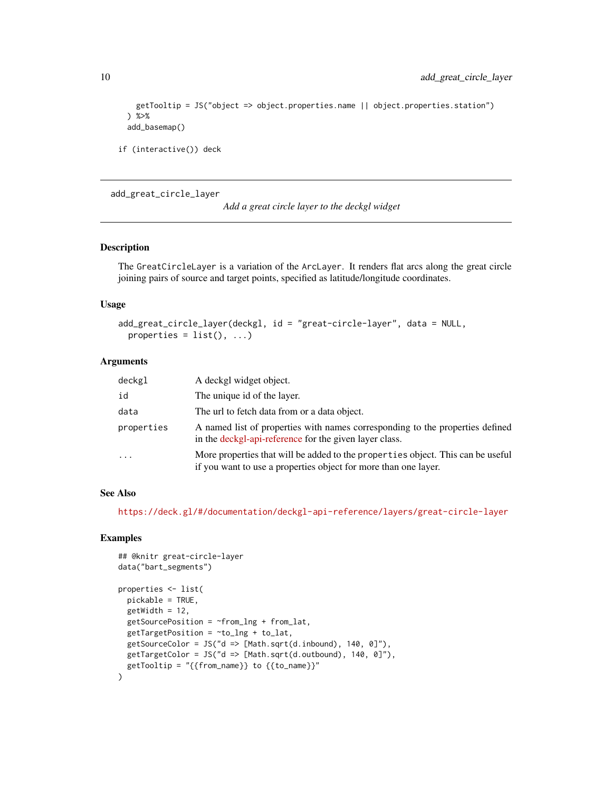```
getTooltip = JS("object => object.properties.name || object.properties.station")
) %>%
add_basemap()
```

```
if (interactive()) deck
```
#### add\_great\_circle\_layer

*Add a great circle layer to the deckgl widget*

### Description

The GreatCircleLayer is a variation of the ArcLayer. It renders flat arcs along the great circle joining pairs of source and target points, specified as latitude/longitude coordinates.

### Usage

```
add_great_circle_layer(deckgl, id = "great-circle-layer", data = NULL,
 properties = list(), ...)
```
### Arguments

| deckgl     | A deckgl widget object.                                                                                                                            |
|------------|----------------------------------------------------------------------------------------------------------------------------------------------------|
| id         | The unique id of the layer.                                                                                                                        |
| data       | The url to fetch data from or a data object.                                                                                                       |
| properties | A named list of properties with names corresponding to the properties defined<br>in the deckgl-api-reference for the given layer class.            |
| $\cdot$    | More properties that will be added to the properties object. This can be useful<br>if you want to use a properties object for more than one layer. |

### See Also

<https://deck.gl/#/documentation/deckgl-api-reference/layers/great-circle-layer>

```
## @knitr great-circle-layer
data("bart_segments")
properties <- list(
 pickable = TRUE,
 getWidth = 12,
 getSourcePosition = ~from_lng + from_lat,
 getTargetPosition = ~to_lng + to_lat,
 getSourceColor = JS("d => [Math.sqrt(d.inbound), 140, 0]"),getTargetColor = JS("d => [Math.sqrt(d.outbound), 140, 0]"),
 getTooltip = "{from_name} to {to_name})
```
<span id="page-9-0"></span>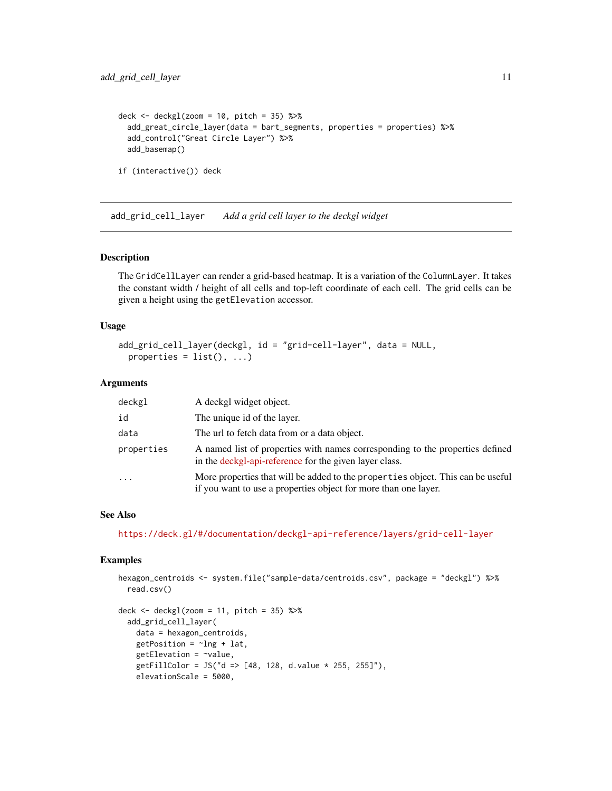```
deck \le deckgl(zoom = 10, pitch = 35) %>%
 add_great_circle_layer(data = bart_segments, properties = properties) %>%
 add_control("Great Circle Layer") %>%
 add_basemap()
if (interactive()) deck
```
add\_grid\_cell\_layer *Add a grid cell layer to the deckgl widget*

#### Description

The GridCellLayer can render a grid-based heatmap. It is a variation of the ColumnLayer. It takes the constant width / height of all cells and top-left coordinate of each cell. The grid cells can be given a height using the getElevation accessor.

#### Usage

```
add_grid_cell_layer(deckgl, id = "grid-cell-layer", data = NULL,
 properties = list(), ...)
```
### Arguments

| deckgl                  | A deckgl widget object.                                                                                                                            |
|-------------------------|----------------------------------------------------------------------------------------------------------------------------------------------------|
| id                      | The unique id of the layer.                                                                                                                        |
| data                    | The url to fetch data from or a data object.                                                                                                       |
| properties              | A named list of properties with names corresponding to the properties defined<br>in the deckgl-api-reference for the given layer class.            |
| $\cdot$ $\cdot$ $\cdot$ | More properties that will be added to the properties object. This can be useful<br>if you want to use a properties object for more than one layer. |

### See Also

<https://deck.gl/#/documentation/deckgl-api-reference/layers/grid-cell-layer>

```
hexagon_centroids <- system.file("sample-data/centroids.csv", package = "deckgl") %>%
 read.csv()
```

```
deck \leq deckgl(zoom = 11, pitch = 35) %>%
 add_grid_cell_layer(
   data = hexagon_centroids,
   getPosition = ~1ng + lat,getElevation = ~value,
   getFillColor = JS("d => [48, 128, d.value * 255, 255]"),
   elevationScale = 5000,
```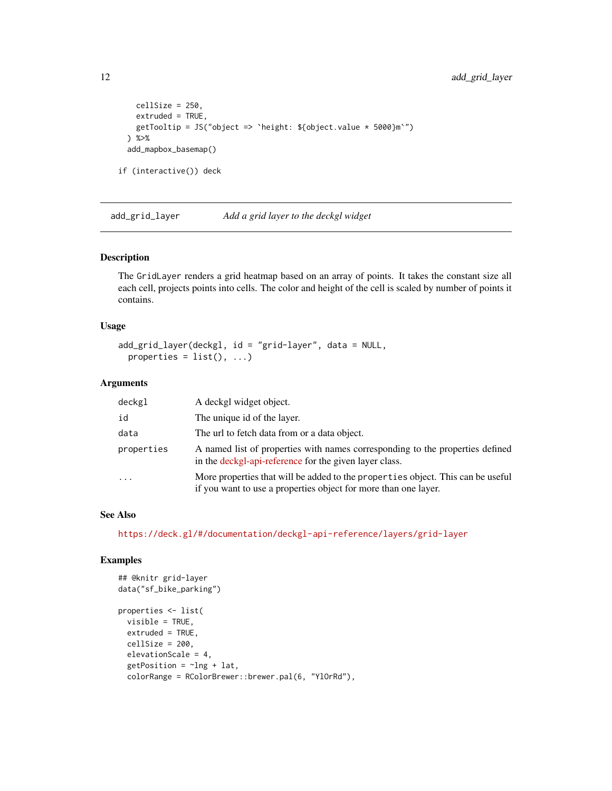```
cellSize = 250,
   extruded = TRUE,
   getTooltip = JS("object => `height: ${object.value * 5000}m`")
 ) %>%
 add_mapbox_basemap()
if (interactive()) deck
```
add\_grid\_layer *Add a grid layer to the deckgl widget*

### Description

The GridLayer renders a grid heatmap based on an array of points. It takes the constant size all each cell, projects points into cells. The color and height of the cell is scaled by number of points it contains.

### Usage

```
add_grid_layer(deckgl, id = "grid-layer", data = NULL,
 properties = list(), ...)
```
#### Arguments

| deckgl     | A deckgl widget object.                                                                                                                            |
|------------|----------------------------------------------------------------------------------------------------------------------------------------------------|
| id         | The unique id of the layer.                                                                                                                        |
| data       | The url to fetch data from or a data object.                                                                                                       |
| properties | A named list of properties with names corresponding to the properties defined<br>in the deckgl-api-reference for the given layer class.            |
|            | More properties that will be added to the properties object. This can be useful<br>if you want to use a properties object for more than one layer. |

### See Also

<https://deck.gl/#/documentation/deckgl-api-reference/layers/grid-layer>

```
## @knitr grid-layer
data("sf_bike_parking")
properties <- list(
  visible = TRUE,
  extruded = TRUE,
  cellSize = 200,elevationScale = 4,
  getPosition = ~1ng + lat,colorRange = RColorBrewer::brewer.pal(6, "YlOrRd"),
```
<span id="page-11-0"></span>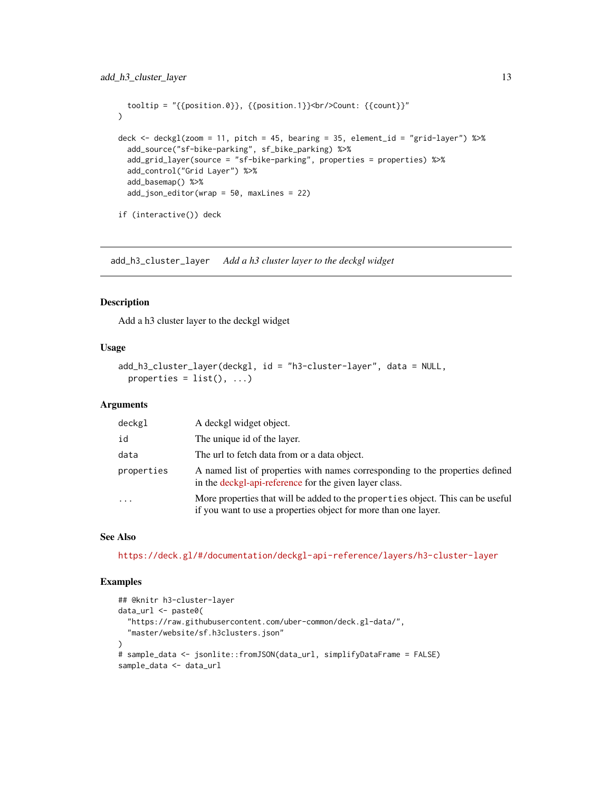```
tooltip = "{{position.0}}, {{position.1}}<br/>chount: {{count}}"
\mathcal{L}deck <- deckgl(zoom = 11, pitch = 45, bearing = 35, element_id = "grid-layer") %\gg%
  add_source("sf-bike-parking", sf_bike_parking) %>%
  add_grid_layer(source = "sf-bike-parking", properties = properties) %>%
  add_control("Grid Layer") %>%
  add_basemap() %>%
  add_json_editor(wrap = 50, maxLines = 22)
if (interactive()) deck
```
add\_h3\_cluster\_layer *Add a h3 cluster layer to the deckgl widget*

### Description

Add a h3 cluster layer to the deckgl widget

### Usage

```
add_h3_cluster_layer(deckgl, id = "h3-cluster-layer", data = NULL,
 properties = list(), ...)
```
#### **Arguments**

| deckgl     | A deckgl widget object.                                                                                                                            |
|------------|----------------------------------------------------------------------------------------------------------------------------------------------------|
| id         | The unique id of the layer.                                                                                                                        |
| data       | The url to fetch data from or a data object.                                                                                                       |
| properties | A named list of properties with names corresponding to the properties defined<br>in the deckgl-api-reference for the given layer class.            |
| $\cdot$    | More properties that will be added to the properties object. This can be useful<br>if you want to use a properties object for more than one layer. |

#### See Also

<https://deck.gl/#/documentation/deckgl-api-reference/layers/h3-cluster-layer>

```
## @knitr h3-cluster-layer
data_url <- paste0(
 "https://raw.githubusercontent.com/uber-common/deck.gl-data/",
 "master/website/sf.h3clusters.json"
\lambda# sample_data <- jsonlite::fromJSON(data_url, simplifyDataFrame = FALSE)
sample_data <- data_url
```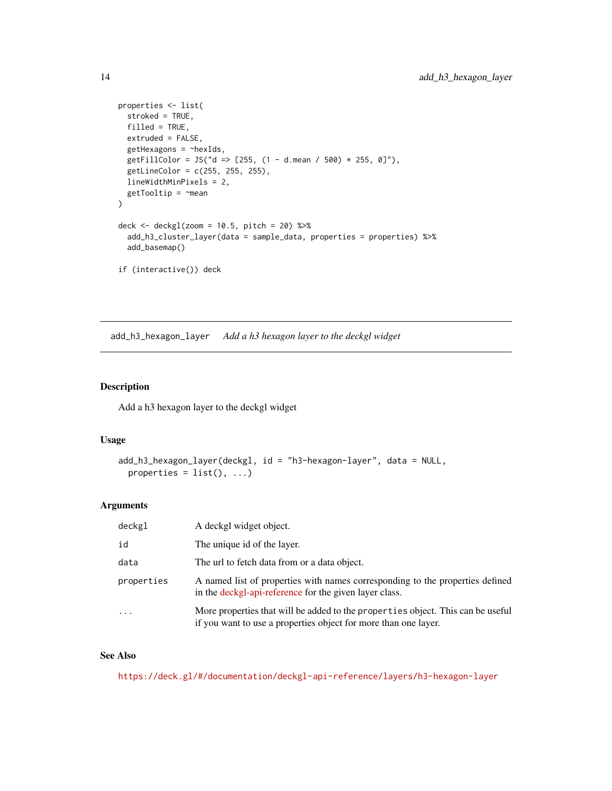```
properties <- list(
  stroked = TRUE,
  filled = TRUE,
  extruded = FALSE,
  getHexagons = ~hexIds,
  getFillColor = JS("d => [255, (1 - d \cdot \text{mean } / 500) * 255, 0]"),
  getLineColor = c(255, 255, 255),
  lineWidthMinPixels = 2,
  getTooltip = ~mean
\lambdadeck \le deckgl(zoom = 10.5, pitch = 20) %>%
  add_h3_cluster_layer(data = sample_data, properties = properties) %>%
  add_basemap()
if (interactive()) deck
```
add\_h3\_hexagon\_layer *Add a h3 hexagon layer to the deckgl widget*

### Description

Add a h3 hexagon layer to the deckgl widget

#### Usage

```
add_h3_hexagon_layer(deckgl, id = "h3-hexagon-layer", data = NULL,
 properties = list(), ...)
```
#### Arguments

| deckgl                  | A deckgl widget object.                                                                                                                            |
|-------------------------|----------------------------------------------------------------------------------------------------------------------------------------------------|
| id                      | The unique id of the layer.                                                                                                                        |
| data                    | The url to fetch data from or a data object.                                                                                                       |
| properties              | A named list of properties with names corresponding to the properties defined<br>in the deckgl-api-reference for the given layer class.            |
| $\cdot$ $\cdot$ $\cdot$ | More properties that will be added to the properties object. This can be useful<br>if you want to use a properties object for more than one layer. |

### See Also

<https://deck.gl/#/documentation/deckgl-api-reference/layers/h3-hexagon-layer>

<span id="page-13-0"></span>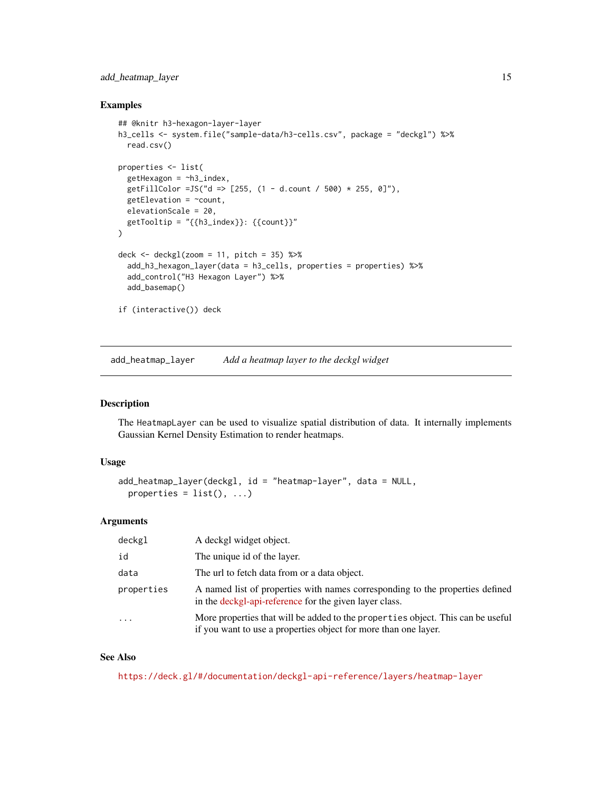### <span id="page-14-0"></span>add\_heatmap\_layer 15

#### Examples

```
## @knitr h3-hexagon-layer-layer
h3_cells <- system.file("sample-data/h3-cells.csv", package = "deckgl") %>%
  read.csv()
properties <- list(
  getHexagon = ~h3_index,
  getFillColor =JS("d => [255, (1 - d.count / 500) * 255, 0]"),
  getElevation = \sim count,
  elevationScale = 20,
  getTooltip = "{{h3_index}}: {{count}}"
)
deck \le deckgl(zoom = 11, pitch = 35) %\gg%
  add_h3_hexagon_layer(data = h3_cells, properties = properties) %>%
  add_control("H3 Hexagon Layer") %>%
  add_basemap()
if (interactive()) deck
```
add\_heatmap\_layer *Add a heatmap layer to the deckgl widget*

#### Description

The HeatmapLayer can be used to visualize spatial distribution of data. It internally implements Gaussian Kernel Density Estimation to render heatmaps.

### Usage

```
add_heatmap_layer(deckgl, id = "heatmap-layer", data = NULL,
 properties = list(), ...)
```
#### Arguments

| deckgl     | A deckgl widget object.                                                                                                                            |
|------------|----------------------------------------------------------------------------------------------------------------------------------------------------|
| id         | The unique id of the layer.                                                                                                                        |
| data       | The url to fetch data from or a data object.                                                                                                       |
| properties | A named list of properties with names corresponding to the properties defined<br>in the deckgl-api-reference for the given layer class.            |
| $\ddotsc$  | More properties that will be added to the properties object. This can be useful<br>if you want to use a properties object for more than one layer. |

#### See Also

<https://deck.gl/#/documentation/deckgl-api-reference/layers/heatmap-layer>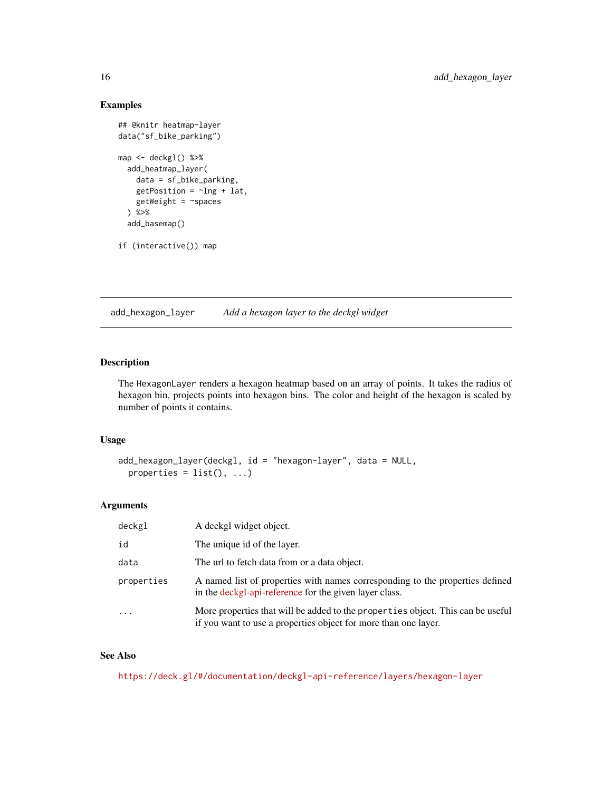### Examples

```
## @knitr heatmap-layer
data("sf_bike_parking")
map <- deckgl() %>%
  add_heatmap_layer(
   data = sf_bike_parking,
   getPosition = ~1ng + lat,getWeight = ~spaces
  ) %>%
  add_basemap()
if (interactive()) map
```
add\_hexagon\_layer *Add a hexagon layer to the deckgl widget*

### **Description**

The HexagonLayer renders a hexagon heatmap based on an array of points. It takes the radius of hexagon bin, projects points into hexagon bins. The color and height of the hexagon is scaled by number of points it contains.

### Usage

```
add_hexagon_layer(deckgl, id = "hexagon-layer", data = NULL,
 properties = list(), ...)
```
### Arguments

| deckgl     | A deckgl widget object.                                                                                                                            |
|------------|----------------------------------------------------------------------------------------------------------------------------------------------------|
| id         | The unique id of the layer.                                                                                                                        |
| data       | The url to fetch data from or a data object.                                                                                                       |
| properties | A named list of properties with names corresponding to the properties defined<br>in the deckgl-api-reference for the given layer class.            |
| $\ddotsc$  | More properties that will be added to the properties object. This can be useful<br>if you want to use a properties object for more than one layer. |

### See Also

<https://deck.gl/#/documentation/deckgl-api-reference/layers/hexagon-layer>

<span id="page-15-0"></span>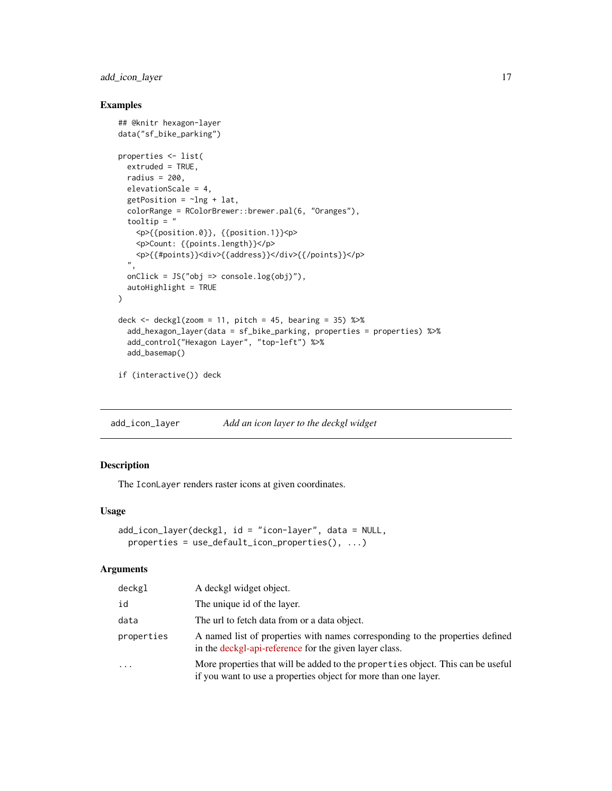### <span id="page-16-0"></span>add\_icon\_layer 17

### Examples

```
## @knitr hexagon-layer
data("sf_bike_parking")
properties <- list(
  extruded = TRUE,
 radius = 200,
  elevationScale = 4,
  getPosition = ~1ng + lat,colorRange = RColorBrewer::brewer.pal(6, "Oranges"),
  tooltip = "
   <p>{{position.0}}, {{position.1}}<p>
   <p>Count: {{points.length}}</p>
   <p>{{#points}}<div>{{address}}</div>{{/points}}</p>
  ",
  onClick = JS("obj => console.log(obj)"),
  autoHighlight = TRUE
\mathcal{L}deck \leq deckgl(zoom = 11, pitch = 45, bearing = 35) %>%
  add_hexagon_layer(data = sf_bike_parking, properties = properties) %>%
  add_control("Hexagon Layer", "top-left") %>%
  add_basemap()
if (interactive()) deck
```
add\_icon\_layer *Add an icon layer to the deckgl widget*

### Description

The IconLayer renders raster icons at given coordinates.

### Usage

```
add_icon_layer(deckgl, id = "icon-layer", data = NULL,
 properties = use_default_icon_properties(), ...)
```

| deckgl     | A deckgl widget object.                                                                                                                            |
|------------|----------------------------------------------------------------------------------------------------------------------------------------------------|
| id         | The unique id of the layer.                                                                                                                        |
| data       | The url to fetch data from or a data object.                                                                                                       |
| properties | A named list of properties with names corresponding to the properties defined<br>in the deckgl-api-reference for the given layer class.            |
| $\cdot$    | More properties that will be added to the properties object. This can be useful<br>if you want to use a properties object for more than one layer. |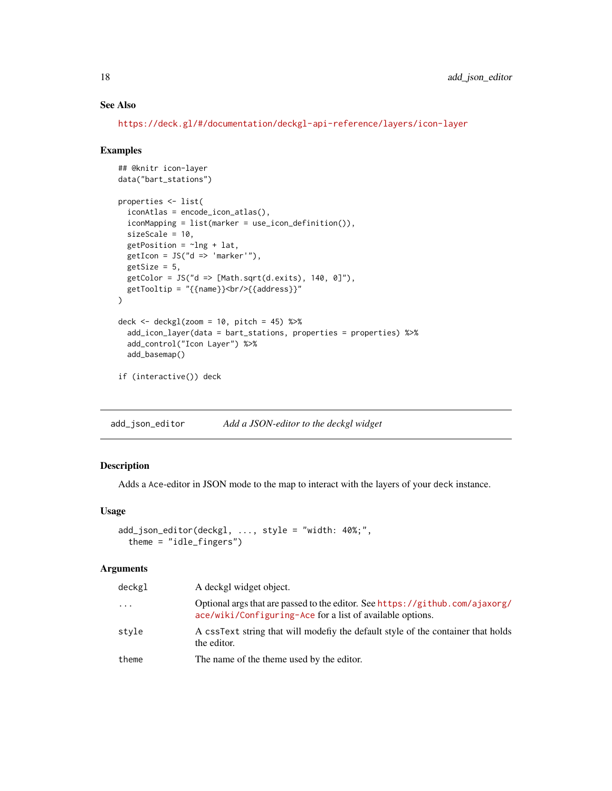### See Also

<https://deck.gl/#/documentation/deckgl-api-reference/layers/icon-layer>

#### Examples

```
## @knitr icon-layer
data("bart_stations")
properties <- list(
 iconAtlas = encode_icon_atlas(),
 iconMapping = list(marker = use_icon_definition()),
 sizeScale = 10,
 getPosition = ~1ng + lat,getIcon = JS("d => 'marker'"),getSize = 5,
 getColor = JS("d => [Math.sqrt(d.exits), 140, 0]"),
 getTooltip = "{{name}}<br/>{{address}}"
\mathcal{L}deck \le deckgl(zoom = 10, pitch = 45) %>%
 add_icon_layer(data = bart_stations, properties = properties) %>%
 add_control("Icon Layer") %>%
 add_basemap()
if (interactive()) deck
```
add\_json\_editor *Add a JSON-editor to the deckgl widget*

#### Description

Adds a Ace-editor in JSON mode to the map to interact with the layers of your deck instance.

### Usage

```
add_json_editor(deckgl, ..., style = "width: 40%;",
  theme = "idle_fingers")
```

| deckgl   | A deckgl widget object.                                                                                                                   |
|----------|-------------------------------------------------------------------------------------------------------------------------------------------|
| $\cdots$ | Optional args that are passed to the editor. See https://github.com/ajaxorg/<br>ace/wiki/Configuring-Ace for a list of available options. |
| style    | A cssText string that will modefly the default style of the container that holds<br>the editor.                                           |
| theme    | The name of the theme used by the editor.                                                                                                 |

<span id="page-17-0"></span>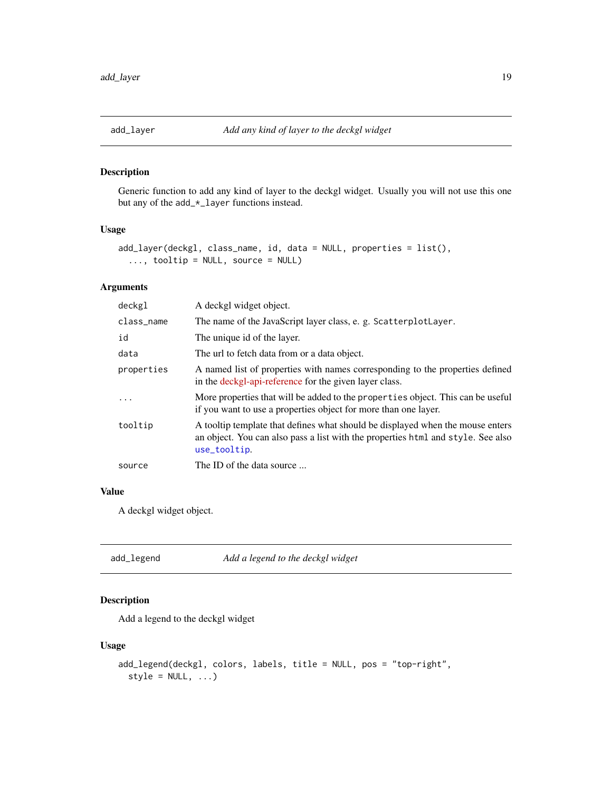<span id="page-18-0"></span>

### Description

Generic function to add any kind of layer to the deckgl widget. Usually you will not use this one but any of the add\_\*\_layer functions instead.

### Usage

```
add_layer(deckgl, class_name, id, data = NULL, properties = list(),
  ..., tooltip = NULL, source = NULL)
```
### Arguments

| deckgl     | A deckgl widget object.                                                                                                                                                            |
|------------|------------------------------------------------------------------------------------------------------------------------------------------------------------------------------------|
| class_name | The name of the JavaScript layer class, e. g. ScatterplotLayer.                                                                                                                    |
| id         | The unique id of the layer.                                                                                                                                                        |
| data       | The url to fetch data from or a data object.                                                                                                                                       |
| properties | A named list of properties with names corresponding to the properties defined<br>in the deckgl-api-reference for the given layer class.                                            |
| .          | More properties that will be added to the properties object. This can be useful<br>if you want to use a properties object for more than one layer.                                 |
| tooltip    | A tooltip template that defines what should be displayed when the mouse enters<br>an object. You can also pass a list with the properties html and style. See also<br>use_tooltip. |
| source     | The ID of the data source                                                                                                                                                          |

### Value

A deckgl widget object.

<span id="page-18-1"></span>

| add_legend | Add a legend to the deckgl widget |
|------------|-----------------------------------|
|------------|-----------------------------------|

### Description

Add a legend to the deckgl widget

#### Usage

```
add_legend(deckgl, colors, labels, title = NULL, pos = "top-right",
  style = NULL, ...
```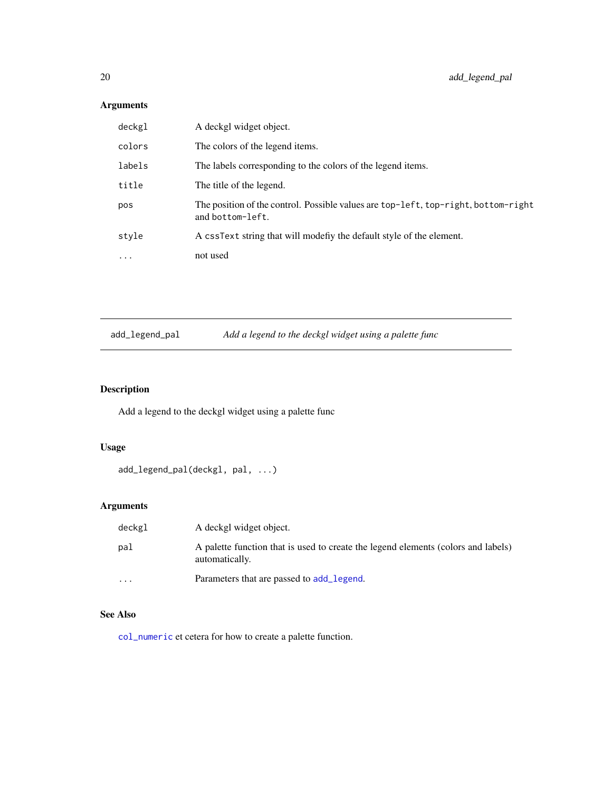### <span id="page-19-0"></span>Arguments

| deckgl    | A deckgl widget object.                                                                                |
|-----------|--------------------------------------------------------------------------------------------------------|
| colors    | The colors of the legend items.                                                                        |
| labels    | The labels corresponding to the colors of the legend items.                                            |
| title     | The title of the legend.                                                                               |
| pos       | The position of the control. Possible values are top-left, top-right, bottom-right<br>and bottom-left. |
| style     | A cssText string that will modefly the default style of the element.                                   |
| $\ddotsc$ | not used                                                                                               |

add\_legend\_pal *Add a legend to the deckgl widget using a palette func*

### Description

Add a legend to the deckgl widget using a palette func

### Usage

```
add_legend_pal(deckgl, pal, ...)
```
### Arguments

| deckgl  | A deckgl widget object.                                                                             |
|---------|-----------------------------------------------------------------------------------------------------|
| pal     | A palette function that is used to create the legend elements (colors and labels)<br>automatically. |
| $\cdot$ | Parameters that are passed to add_legend.                                                           |

### See Also

[col\\_numeric](#page-0-0) et cetera for how to create a palette function.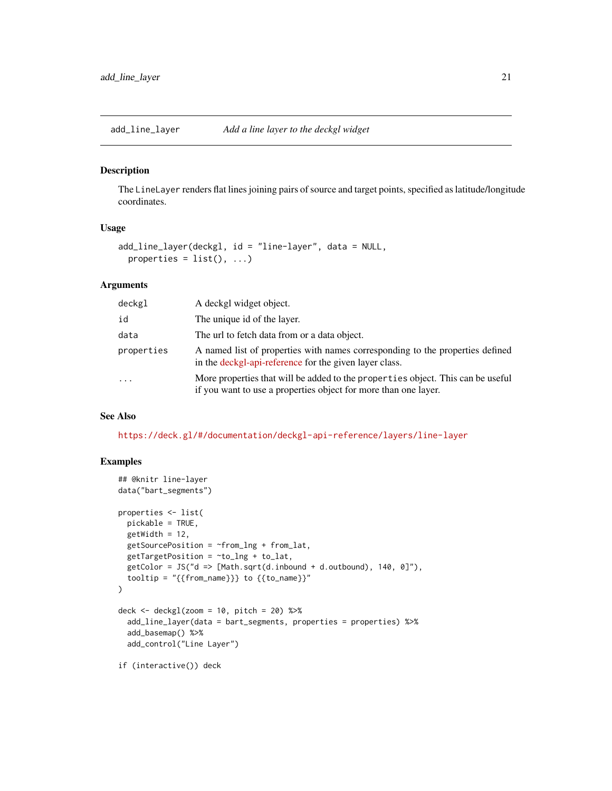<span id="page-20-0"></span>

#### Description

The LineLayer renders flat lines joining pairs of source and target points, specified as latitude/longitude coordinates.

#### Usage

```
add_line_layer(deckgl, id = "line-layer", data = NULL,
 properties = list(), ...)
```
#### Arguments

| deckgl     | A deckgl widget object.                                                                                                                            |
|------------|----------------------------------------------------------------------------------------------------------------------------------------------------|
| id         | The unique id of the layer.                                                                                                                        |
| data       | The url to fetch data from or a data object.                                                                                                       |
| properties | A named list of properties with names corresponding to the properties defined<br>in the deckgl-api-reference for the given layer class.            |
| $\ddotsc$  | More properties that will be added to the properties object. This can be useful<br>if you want to use a properties object for more than one layer. |

#### See Also

<https://deck.gl/#/documentation/deckgl-api-reference/layers/line-layer>

```
## @knitr line-layer
data("bart_segments")
properties <- list(
  pickable = TRUE,
  getWidth = 12,getSourcePosition = <math>\uparrow</math> from <math>\downarrow</math> and <math>\uparrow</math> from <math>\downarrow</math> at,getTargetPosition = <math>\sim to_lng + to_lat,
  getColor = JS("d => [Math.sqrt(d.inbound + d.outbound), 140, 0]"),
  tooltip = "\{from_name\}\} to {\{to_name\}}"\mathcal{L}deck \le deckgl(zoom = 10, pitch = 20) %>%
  add_line_layer(data = bart_segments, properties = properties) %>%
  add_basemap() %>%
  add_control("Line Layer")
if (interactive()) deck
```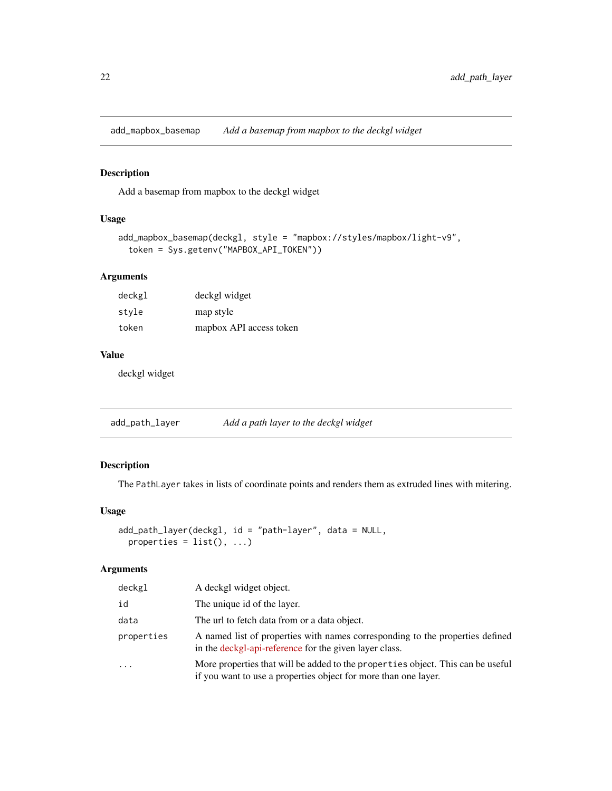<span id="page-21-0"></span>add\_mapbox\_basemap *Add a basemap from mapbox to the deckgl widget*

#### Description

Add a basemap from mapbox to the deckgl widget

### Usage

```
add_mapbox_basemap(deckgl, style = "mapbox://styles/mapbox/light-v9",
  token = Sys.getenv("MAPBOX_API_TOKEN"))
```
#### Arguments

| deckgl | deckgl widget           |
|--------|-------------------------|
| style  | map style               |
| token  | mapbox API access token |

#### Value

deckgl widget

add\_path\_layer *Add a path layer to the deckgl widget*

### Description

The PathLayer takes in lists of coordinate points and renders them as extruded lines with mitering.

### Usage

```
add_path_layer(deckgl, id = "path-layer", data = NULL,
 properties = list(), ...)
```

| deckgl     | A deckgl widget object.                                                                                                                            |
|------------|----------------------------------------------------------------------------------------------------------------------------------------------------|
| id         | The unique id of the layer.                                                                                                                        |
| data       | The url to fetch data from or a data object.                                                                                                       |
| properties | A named list of properties with names corresponding to the properties defined<br>in the deckgl-api-reference for the given layer class.            |
| $\cdot$    | More properties that will be added to the properties object. This can be useful<br>if you want to use a properties object for more than one layer. |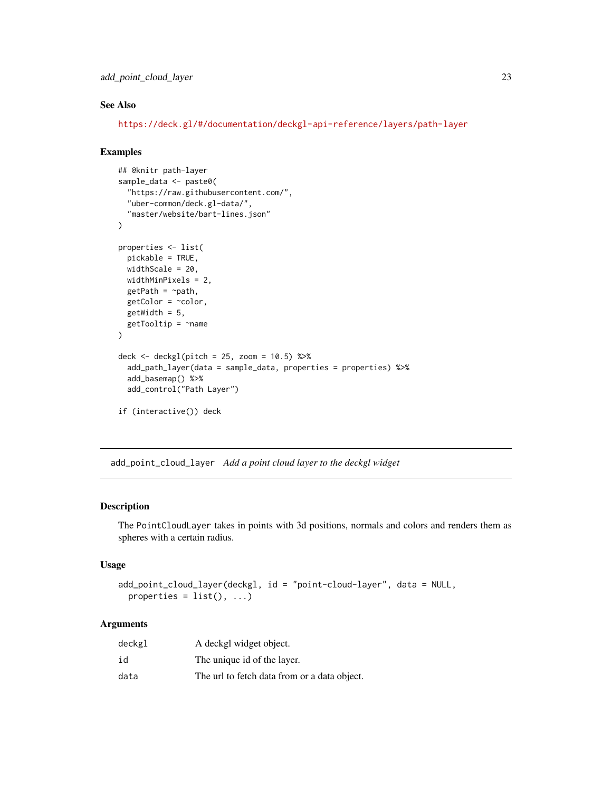<span id="page-22-0"></span>add\_point\_cloud\_layer 23

### See Also

<https://deck.gl/#/documentation/deckgl-api-reference/layers/path-layer>

#### Examples

```
## @knitr path-layer
sample_data <- paste0(
  "https://raw.githubusercontent.com/",
  "uber-common/deck.gl-data/",
  "master/website/bart-lines.json"
)
properties <- list(
  pickable = TRUE,
  widthScale = 20,
  widthMinPixels = 2,
  getPath = ~path,
  getColor = ~color,
  getWidth = 5,
  getTooltip = \texttt{name}\mathcal{L}deck \leq deckgl(pitch = 25, zoom = 10.5) %>%
  add_path_layer(data = sample_data, properties = properties) %>%
  add_basemap() %>%
  add_control("Path Layer")
if (interactive()) deck
```
add\_point\_cloud\_layer *Add a point cloud layer to the deckgl widget*

### Description

The PointCloudLayer takes in points with 3d positions, normals and colors and renders them as spheres with a certain radius.

#### Usage

```
add_point_cloud_layer(deckgl, id = "point-cloud-layer", data = NULL,
 properties = list(), ...)
```

| deckgl | A deckgl widget object.                      |
|--------|----------------------------------------------|
| id     | The unique id of the layer.                  |
| data   | The url to fetch data from or a data object. |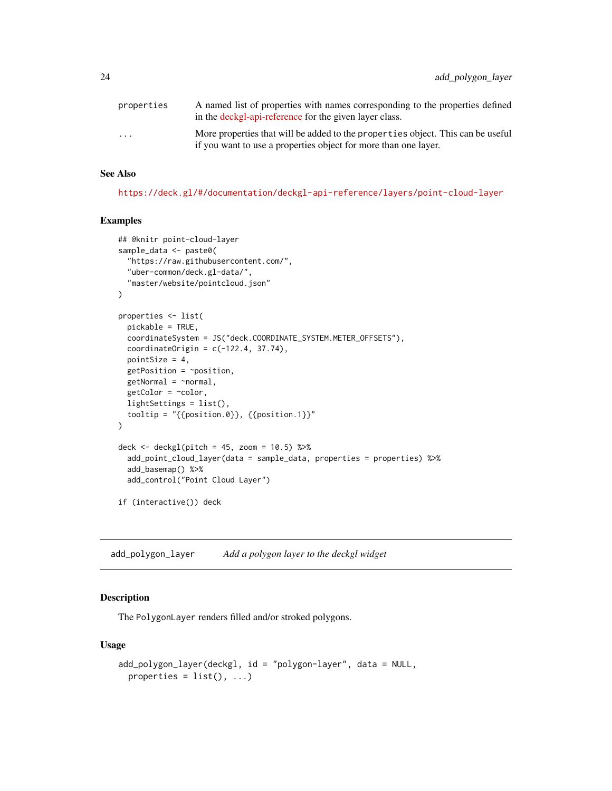<span id="page-23-0"></span>

| properties              | A named list of properties with names corresponding to the properties defined<br>in the deckgl-api-reference for the given layer class.            |
|-------------------------|----------------------------------------------------------------------------------------------------------------------------------------------------|
| $\cdot$ $\cdot$ $\cdot$ | More properties that will be added to the properties object. This can be useful<br>if you want to use a properties object for more than one layer. |

#### See Also

<https://deck.gl/#/documentation/deckgl-api-reference/layers/point-cloud-layer>

#### Examples

```
## @knitr point-cloud-layer
sample_data <- paste0(
  "https://raw.githubusercontent.com/",
  "uber-common/deck.gl-data/",
  "master/website/pointcloud.json"
\mathcal{L}properties <- list(
  pickable = TRUE,
  coordinateSystem = JS("deck.COORDINATE_SYSTEM.METER_OFFSETS"),
  coordinateOrigin = c(-122.4, 37.74),
  pointSize = 4,
  getPosition = ~position,
  getNormal = \gamma normal,
  getColor = <math>~</math>color,lightSettings = list(),
  tooltip = "{\text{position.0}}, {\text{position.1}}"\mathcal{L}deck <- \text{deck} = 45, zoom = 10.5) %>%
  add_point_cloud_layer(data = sample_data, properties = properties) %>%
  add_basemap() %>%
  add_control("Point Cloud Layer")
if (interactive()) deck
```
add\_polygon\_layer *Add a polygon layer to the deckgl widget*

#### Description

The PolygonLayer renders filled and/or stroked polygons.

#### Usage

```
add_polygon_layer(deckgl, id = "polygon-layer", data = NULL,
 properties = list(), ...)
```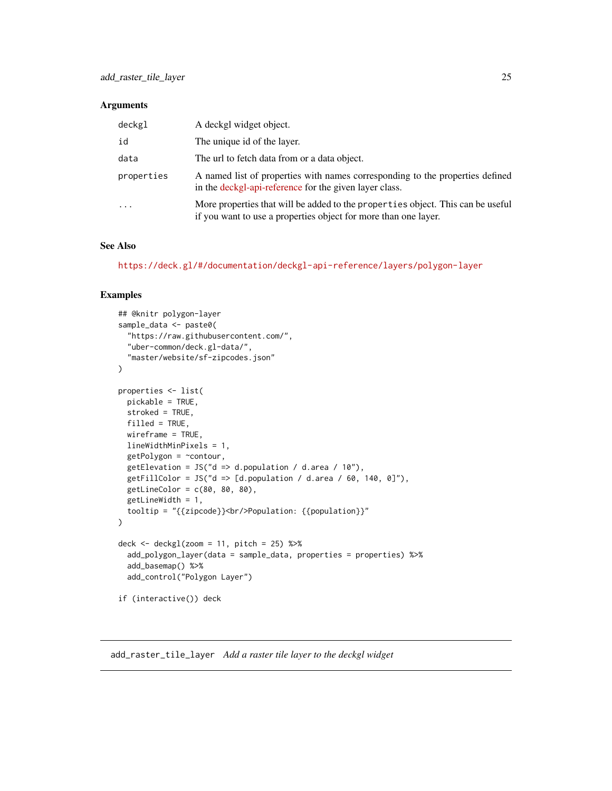#### <span id="page-24-0"></span>Arguments

| deckgl     | A deckgl widget object.                                                                                                                            |
|------------|----------------------------------------------------------------------------------------------------------------------------------------------------|
| id         | The unique id of the layer.                                                                                                                        |
| data       | The url to fetch data from or a data object.                                                                                                       |
| properties | A named list of properties with names corresponding to the properties defined<br>in the deckgl-api-reference for the given layer class.            |
| $\ddotsc$  | More properties that will be added to the properties object. This can be useful<br>if you want to use a properties object for more than one layer. |

#### See Also

<https://deck.gl/#/documentation/deckgl-api-reference/layers/polygon-layer>

#### Examples

```
## @knitr polygon-layer
sample_data <- paste0(
  "https://raw.githubusercontent.com/",
  "uber-common/deck.gl-data/",
  "master/website/sf-zipcodes.json"
)
properties <- list(
  pickable = TRUE,
  stroked = TRUE,
 filled = TRUE,
  wireframe = TRUE,
  lineWidthMinPixels = 1,
  getPolygon = ~contour,
  getElevation = JS("d => d.population / d.area / 10"),
  getFillColor = JS("d => [d.population / d.area / 60, 140, 0]"),
  getLineColor = c(80, 80, 80),
  getLineWidth = 1,
  tooltip = "{{zipcode}}<br/>>br/>Population: {{population}}"
)
deck <- deckgl(zoom = 11, pitch = 25) %>%
  add_polygon_layer(data = sample_data, properties = properties) %>%
  add_basemap() %>%
  add_control("Polygon Layer")
if (interactive()) deck
```
add\_raster\_tile\_layer *Add a raster tile layer to the deckgl widget*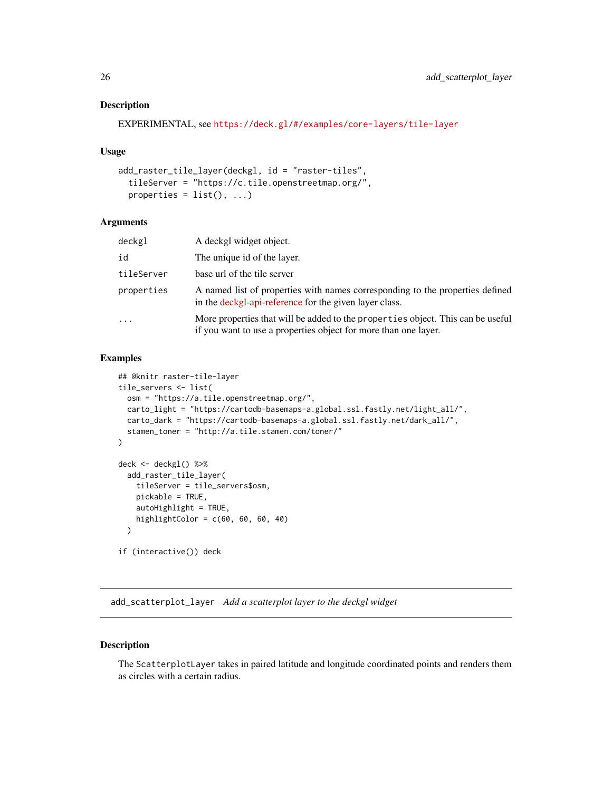### <span id="page-25-0"></span>Description

```
EXPERIMENTAL, see https://deck.gl/#/examples/core-layers/tile-layer
```
#### Usage

```
add_raster_tile_layer(deckgl, id = "raster-tiles",
  tileServer = "https://c.tile.openstreetmap.org/",
 properties = list(), ...)
```
### Arguments

| deckgl     | A deckgl widget object.                                                                                                                            |
|------------|----------------------------------------------------------------------------------------------------------------------------------------------------|
| id         | The unique id of the layer.                                                                                                                        |
| tileServer | base url of the tile server                                                                                                                        |
| properties | A named list of properties with names corresponding to the properties defined<br>in the deckgl-api-reference for the given layer class.            |
| .          | More properties that will be added to the properties object. This can be useful<br>if you want to use a properties object for more than one layer. |

#### Examples

```
## @knitr raster-tile-layer
tile_servers <- list(
  osm = "https://a.tile.openstreetmap.org/",
 carto_light = "https://cartodb-basemaps-a.global.ssl.fastly.net/light_all/",
  carto_dark = "https://cartodb-basemaps-a.global.ssl.fastly.net/dark_all/",
  stamen_toner = "http://a.tile.stamen.com/toner/"
\mathcal{L}deck <- deckgl() %>%
  add_raster_tile_layer(
   tileServer = tile_servers$osm,
   pickable = TRUE,
   autoHighlight = TRUE,
   highlightColor = c(60, 60, 60, 40))
if (interactive()) deck
```
add\_scatterplot\_layer *Add a scatterplot layer to the deckgl widget*

#### Description

The ScatterplotLayer takes in paired latitude and longitude coordinated points and renders them as circles with a certain radius.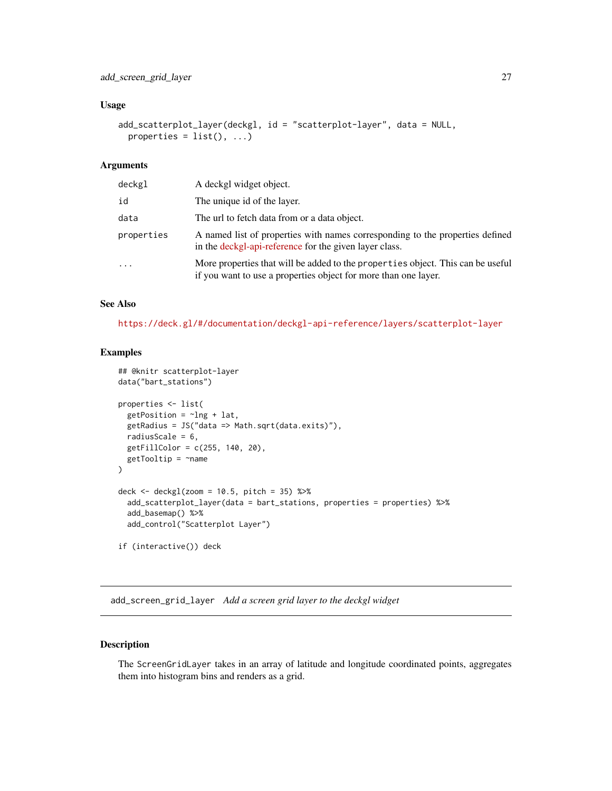#### <span id="page-26-0"></span>Usage

```
add_scatterplot_layer(deckgl, id = "scatterplot-layer", data = NULL,
 properties = list(), ...)
```
### Arguments

| deckgl     | A deckgl widget object.                                                                                                                            |
|------------|----------------------------------------------------------------------------------------------------------------------------------------------------|
| id         | The unique id of the layer.                                                                                                                        |
| data       | The url to fetch data from or a data object.                                                                                                       |
| properties | A named list of properties with names corresponding to the properties defined<br>in the deckgl-api-reference for the given layer class.            |
| $\ddots$   | More properties that will be added to the properties object. This can be useful<br>if you want to use a properties object for more than one layer. |

### See Also

<https://deck.gl/#/documentation/deckgl-api-reference/layers/scatterplot-layer>

#### Examples

```
## @knitr scatterplot-layer
data("bart_stations")
properties <- list(
  getPosition = ~1ng + lat,getRadius = JS("data => Math.sqrt(data.exits)"),
  radiusScale = 6,
  getFillColor = c(255, 140, 20),
  getTooltip = \texttt{name})
deck <- deckgl(zoom = 10.5, pitch = 35) %>%
  add_scatterplot_layer(data = bart_stations, properties = properties) %>%
  add_basemap() %>%
  add_control("Scatterplot Layer")
if (interactive()) deck
```
add\_screen\_grid\_layer *Add a screen grid layer to the deckgl widget*

### Description

The ScreenGridLayer takes in an array of latitude and longitude coordinated points, aggregates them into histogram bins and renders as a grid.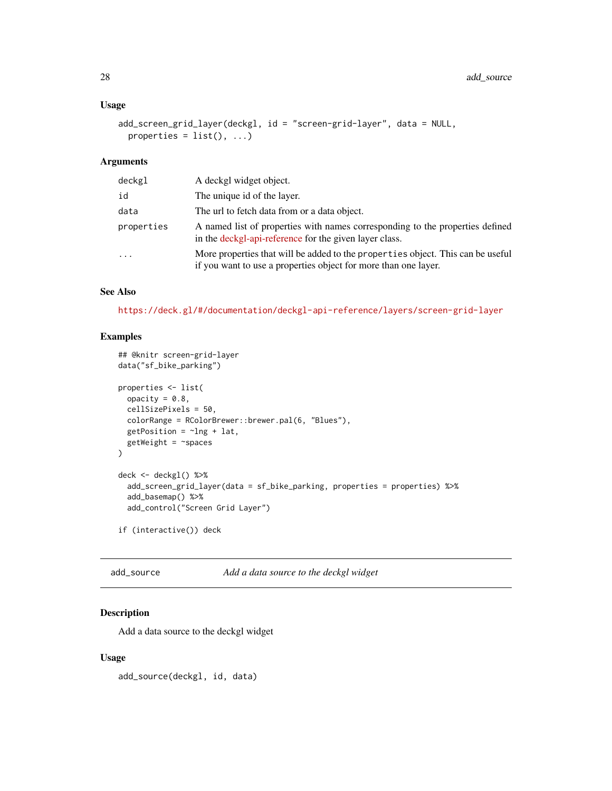#### <span id="page-27-0"></span>Usage

```
add_screen_grid_layer(deckgl, id = "screen-grid-layer", data = NULL,
 properties = list(), ...)
```
### Arguments

| deckgl     | A deckgl widget object.                                                                                                                            |
|------------|----------------------------------------------------------------------------------------------------------------------------------------------------|
| id         | The unique id of the layer.                                                                                                                        |
| data       | The url to fetch data from or a data object.                                                                                                       |
| properties | A named list of properties with names corresponding to the properties defined<br>in the deckgl-api-reference for the given layer class.            |
|            | More properties that will be added to the properties object. This can be useful<br>if you want to use a properties object for more than one layer. |

### See Also

<https://deck.gl/#/documentation/deckgl-api-reference/layers/screen-grid-layer>

#### Examples

```
## @knitr screen-grid-layer
data("sf_bike_parking")
properties <- list(
  opacity = 0.8,
  cellSizePixels = 50,
  colorRange = RColorBrewer::brewer.pal(6, "Blues"),
  getPosition = ~1ng + lat,getWeight = <math>~</math>)
deck <- deckgl() %>%
  add_screen_grid_layer(data = sf_bike_parking, properties = properties) %>%
  add_basemap() %>%
  add_control("Screen Grid Layer")
if (interactive()) deck
```
add\_source *Add a data source to the deckgl widget*

### Description

Add a data source to the deckgl widget

#### Usage

add\_source(deckgl, id, data)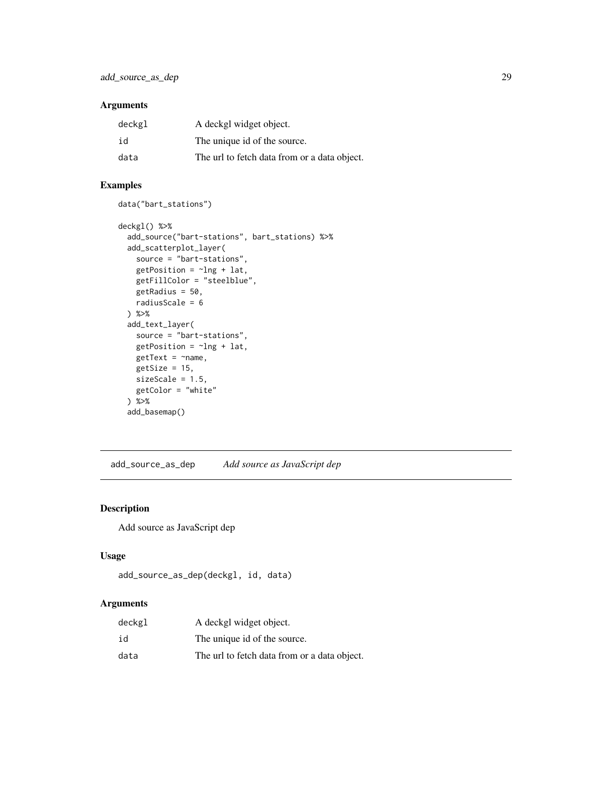### <span id="page-28-0"></span>Arguments

| deckgl | A deckgl widget object.                      |
|--------|----------------------------------------------|
| id     | The unique id of the source.                 |
| data   | The url to fetch data from or a data object. |

### Examples

data("bart\_stations")

```
deckgl() %>%
 add_source("bart-stations", bart_stations) %>%
 add_scatterplot_layer(
   source = "bart-stations",
   getPosition = ~lng + lat,
   getFillColor = "steelblue",
   getRadius = 50,
   radiusScale = 6
 ) %>%
 add_text_layer(
   source = "bart-stations",
   getPosition = \simlng + lat,
   getText = \text{~}name,
   getSize = 15,
   sizeScale = 1.5,
   getColor = "white"
 ) %>%
 add_basemap()
```
add\_source\_as\_dep *Add source as JavaScript dep*

#### Description

Add source as JavaScript dep

### Usage

```
add_source_as_dep(deckgl, id, data)
```

| deckgl | A deckgl widget object.                      |
|--------|----------------------------------------------|
| id     | The unique id of the source.                 |
| data   | The url to fetch data from or a data object. |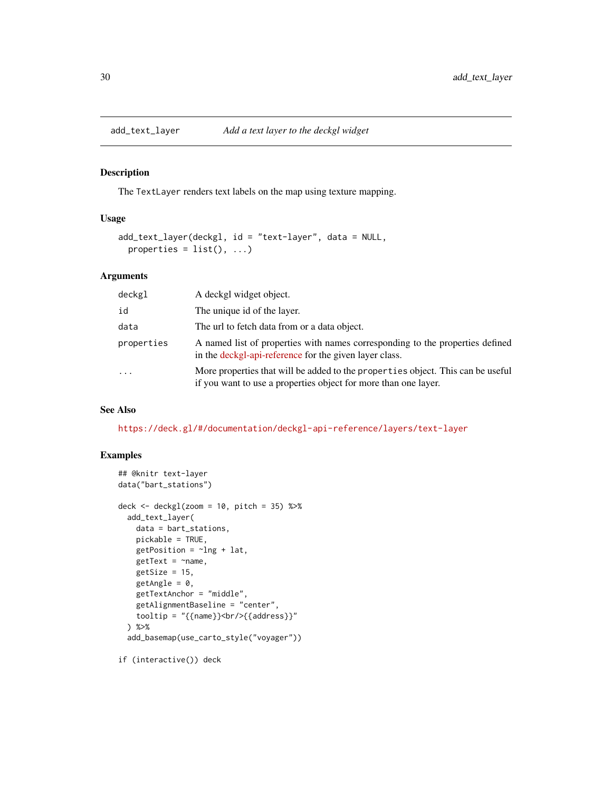<span id="page-29-0"></span>

#### Description

The TextLayer renders text labels on the map using texture mapping.

### Usage

```
add_text_layer(deckgl, id = "text-layer", data = NULL,
 properties = list(), ...)
```
#### Arguments

| deckgl     | A deckgl widget object.                                                                                                                            |
|------------|----------------------------------------------------------------------------------------------------------------------------------------------------|
| id         | The unique id of the layer.                                                                                                                        |
| data       | The url to fetch data from or a data object.                                                                                                       |
| properties | A named list of properties with names corresponding to the properties defined<br>in the deckgl-api-reference for the given layer class.            |
| $\cdot$    | More properties that will be added to the properties object. This can be useful<br>if you want to use a properties object for more than one layer. |

#### See Also

<https://deck.gl/#/documentation/deckgl-api-reference/layers/text-layer>

#### Examples

```
## @knitr text-layer
data("bart_stations")
deck \le deckgl(zoom = 10, pitch = 35) %>%
  add_text_layer(
    data = bart_stations,
    pickable = TRUE,
    getPosition = ~1ng + lat,getText = \text{name},getSize = 15,
    getAngle = 0,
    getTextAnchor = "middle",
    getAlignmentBaseline = "center",
    tooltip = "{\{name\}}\>chr/>{{address}}"
  ) %>%
  add_basemap(use_carto_style("voyager"))
```
if (interactive()) deck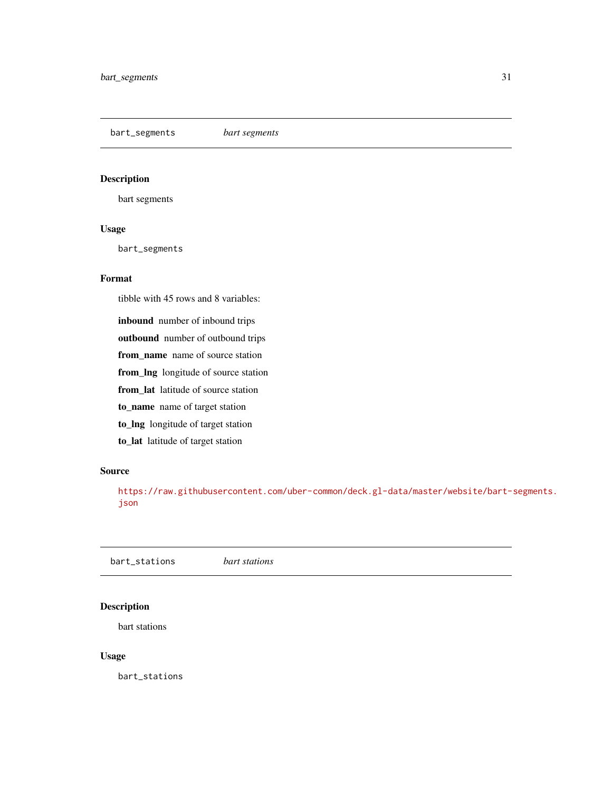<span id="page-30-0"></span>bart\_segments *bart segments*

#### Description

bart segments

#### Usage

bart\_segments

### Format

tibble with 45 rows and 8 variables:

inbound number of inbound trips outbound number of outbound trips from\_name name of source station from\_lng longitude of source station from\_lat latitude of source station to\_name name of target station to\_lng longitude of target station to\_lat latitude of target station

#### Source

[https://raw.githubusercontent.com/uber-common/deck.gl-data/master/website/bart-](https://raw.githubusercontent.com/uber-common/deck.gl-data/master/website/bart-segments.json)segments. [json](https://raw.githubusercontent.com/uber-common/deck.gl-data/master/website/bart-segments.json)

bart\_stations *bart stations*

#### Description

bart stations

#### Usage

bart\_stations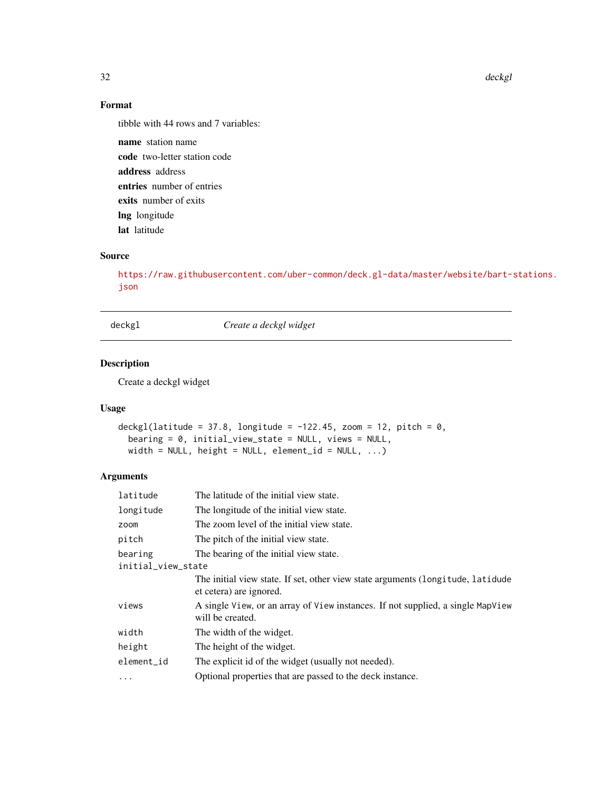32 deckgl

### Format

tibble with 44 rows and 7 variables:

name station name code two-letter station code address address entries number of entries exits number of exits lng longitude lat latitude

### Source

[https://raw.githubusercontent.com/uber-common/deck.gl-data/master/website/bart-](https://raw.githubusercontent.com/uber-common/deck.gl-data/master/website/bart-stations.json)stations. [json](https://raw.githubusercontent.com/uber-common/deck.gl-data/master/website/bart-stations.json)

deckgl *Create a deckgl widget*

### Description

Create a deckgl widget

### Usage

```
deckgl(latitude = 37.8, longitude = -122.45, zoom = 12, pitch = 0,
  bearing = 0, initial_view_state = NULL, views = NULL,
  width = NULL, height = NULL, element_id = NULL, \ldots)
```

| latitude           | The latitude of the initial view state.                                                                    |  |
|--------------------|------------------------------------------------------------------------------------------------------------|--|
| longitude          | The longitude of the initial view state.                                                                   |  |
| zoom               | The zoom level of the initial view state.                                                                  |  |
| pitch              | The pitch of the initial view state.                                                                       |  |
| bearing            | The bearing of the initial view state.                                                                     |  |
| initial_view_state |                                                                                                            |  |
|                    | The initial view state. If set, other view state arguments (longitude, latidude<br>et cetera) are ignored. |  |
| views              | A single View, or an array of View instances. If not supplied, a single MapView<br>will be created.        |  |
| width              | The width of the widget.                                                                                   |  |
| height             | The height of the widget.                                                                                  |  |
| element_id         | The explicit id of the widget (usually not needed).                                                        |  |
| .                  | Optional properties that are passed to the deck instance.                                                  |  |

<span id="page-31-0"></span>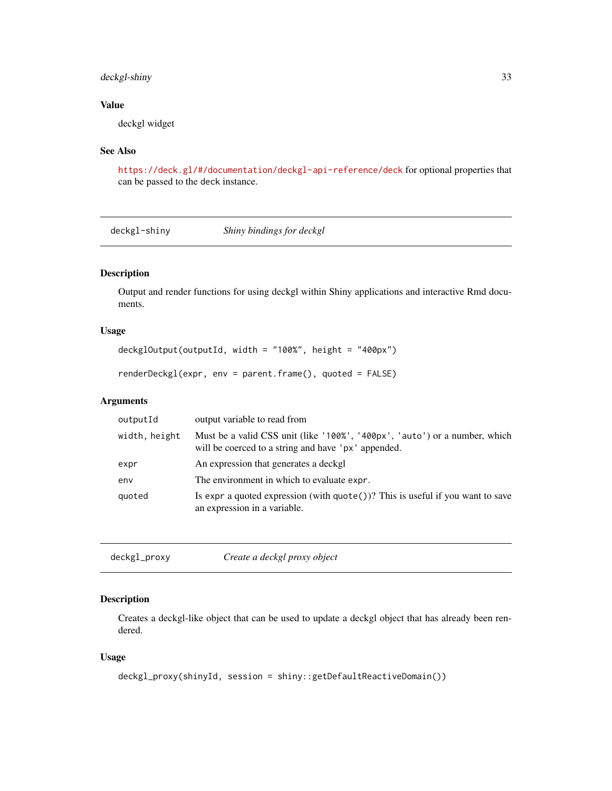### <span id="page-32-0"></span>deckgl-shiny 33

### Value

deckgl widget

### See Also

<https://deck.gl/#/documentation/deckgl-api-reference/deck> for optional properties that can be passed to the deck instance.

deckgl-shiny *Shiny bindings for deckgl*

### Description

Output and render functions for using deckgl within Shiny applications and interactive Rmd documents.

### Usage

```
deckglOutput(outputId, width = "100%", height = "400px")
```

```
renderDeckgl(expr, env = parent.frame(), quoted = FALSE)
```
### Arguments

| outputId      | output variable to read from                                                                                                      |
|---------------|-----------------------------------------------------------------------------------------------------------------------------------|
| width, height | Must be a valid CSS unit (like '100%', '400px', 'auto') or a number, which<br>will be coerced to a string and have 'px' appended. |
| expr          | An expression that generates a deckgl                                                                                             |
| env           | The environment in which to evaluate expr.                                                                                        |
| quoted        | Is expr a quoted expression (with $\text{quote}()$ )? This is useful if you want to save<br>an expression in a variable.          |

```
deckgl_proxy Create a deckgl proxy object
```
### Description

Creates a deckgl-like object that can be used to update a deckgl object that has already been rendered.

#### Usage

```
deckgl_proxy(shinyId, session = shiny::getDefaultReactiveDomain())
```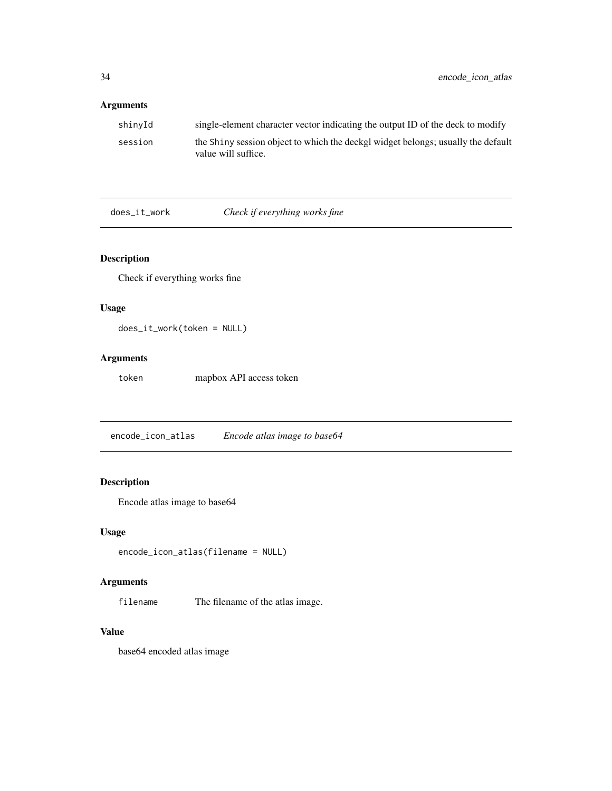### <span id="page-33-0"></span>Arguments

| shinvId | single-element character vector indicating the output ID of the deck to modify                          |
|---------|---------------------------------------------------------------------------------------------------------|
| session | the Shiny session object to which the deckgl widget belongs; usually the default<br>value will suffice. |

does\_it\_work *Check if everything works fine*

### Description

Check if everything works fine

### Usage

does\_it\_work(token = NULL)

### Arguments

token mapbox API access token

encode\_icon\_atlas *Encode atlas image to base64*

### Description

Encode atlas image to base64

### Usage

```
encode_icon_atlas(filename = NULL)
```
### Arguments

filename The filename of the atlas image.

### Value

base64 encoded atlas image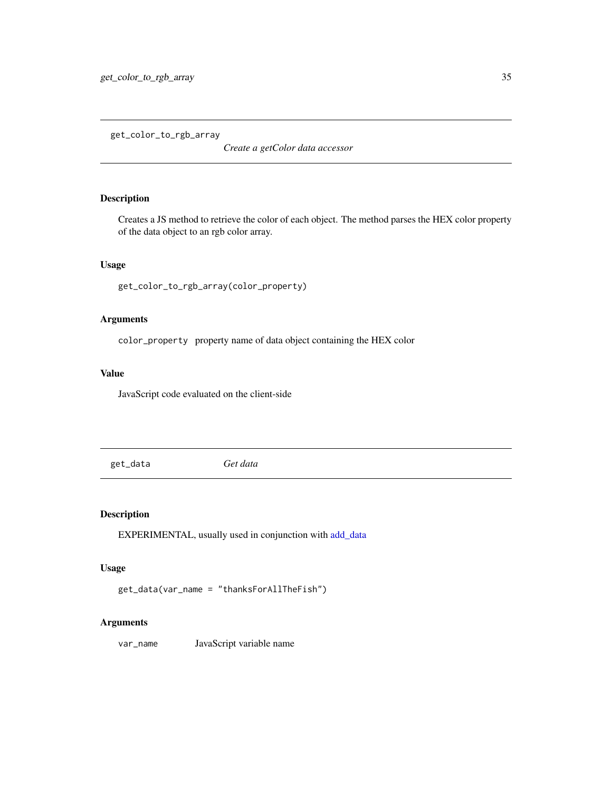<span id="page-34-0"></span>get\_color\_to\_rgb\_array

*Create a getColor data accessor*

### **Description**

Creates a JS method to retrieve the color of each object. The method parses the HEX color property of the data object to an rgb color array.

### Usage

```
get_color_to_rgb_array(color_property)
```
### Arguments

color\_property property name of data object containing the HEX color

### Value

JavaScript code evaluated on the client-side

get\_data *Get data*

### Description

EXPERIMENTAL, usually used in conjunction with [add\\_data](#page-7-1)

#### Usage

```
get_data(var_name = "thanksForAllTheFish")
```
#### Arguments

var\_name JavaScript variable name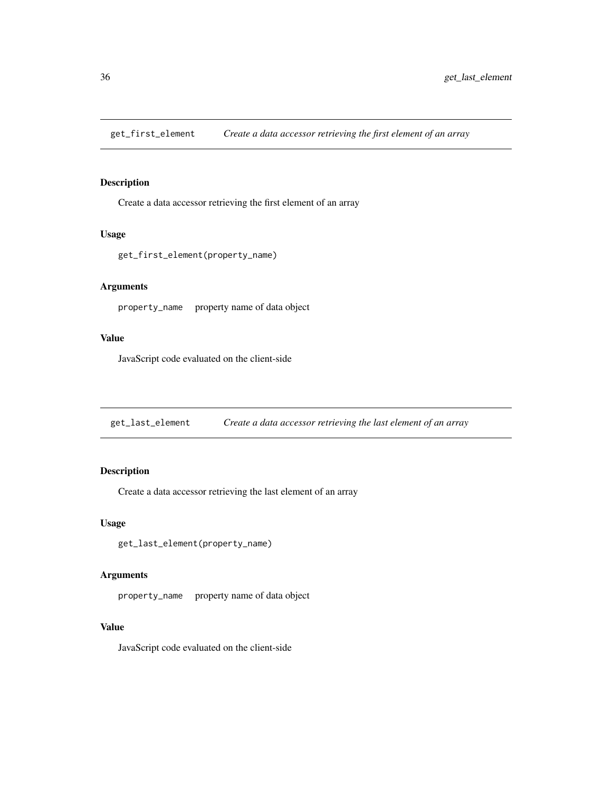<span id="page-35-0"></span>get\_first\_element *Create a data accessor retrieving the first element of an array*

### Description

Create a data accessor retrieving the first element of an array

#### Usage

```
get_first_element(property_name)
```
### Arguments

property\_name property name of data object

### Value

JavaScript code evaluated on the client-side

get\_last\_element *Create a data accessor retrieving the last element of an array*

### Description

Create a data accessor retrieving the last element of an array

### Usage

get\_last\_element(property\_name)

#### Arguments

property\_name property name of data object

### Value

JavaScript code evaluated on the client-side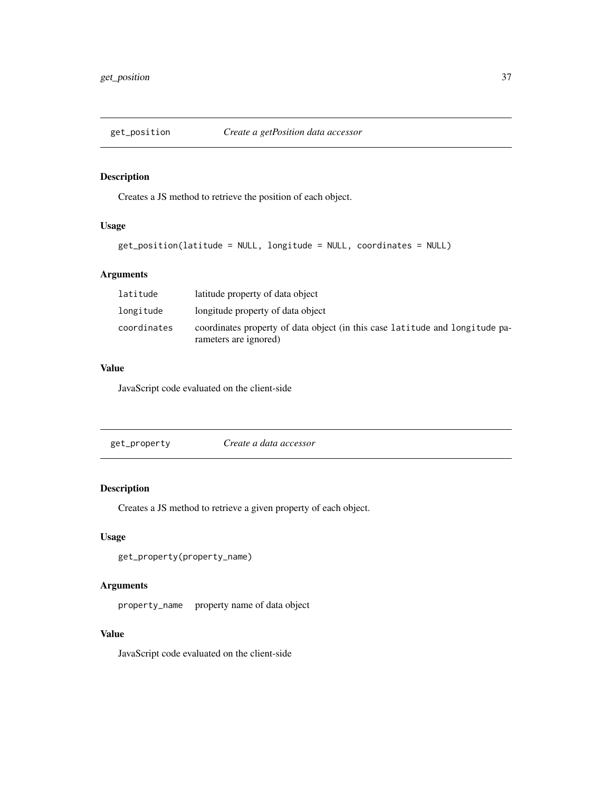<span id="page-36-0"></span>

#### Description

Creates a JS method to retrieve the position of each object.

### Usage

```
get_position(latitude = NULL, longitude = NULL, coordinates = NULL)
```
### Arguments

| latitude    | latitude property of data object                                                                      |
|-------------|-------------------------------------------------------------------------------------------------------|
| longitude   | longitude property of data object                                                                     |
| coordinates | coordinates property of data object (in this case latitude and longitude pa-<br>rameters are ignored) |

### Value

JavaScript code evaluated on the client-side

get\_property *Create a data accessor*

### Description

Creates a JS method to retrieve a given property of each object.

### Usage

```
get_property(property_name)
```
### Arguments

property\_name property name of data object

### Value

JavaScript code evaluated on the client-side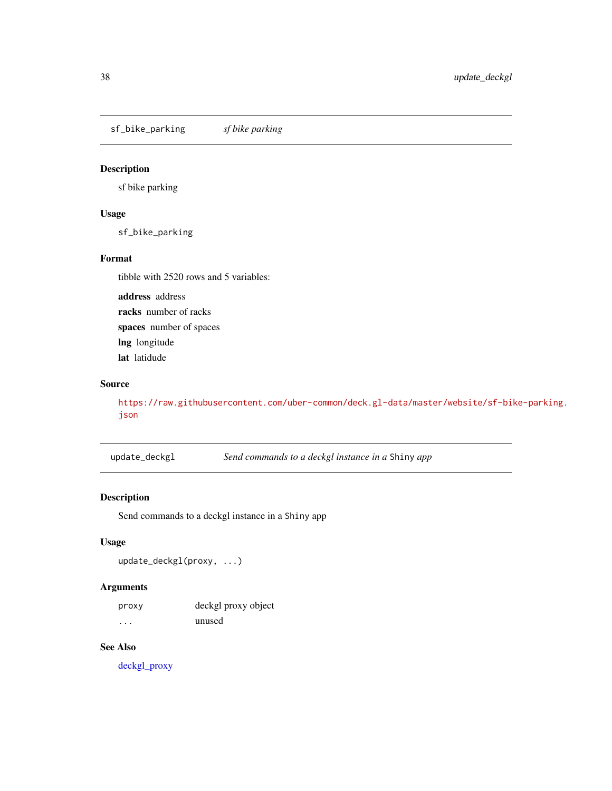<span id="page-37-0"></span>sf\_bike\_parking *sf bike parking*

### Description

sf bike parking

### Usage

sf\_bike\_parking

### Format

tibble with 2520 rows and 5 variables:

address address racks number of racks spaces number of spaces lng longitude lat latidude

### Source

[https://raw.githubusercontent.com/uber-common/deck.gl-data/master/website/sf-bi](https://raw.githubusercontent.com/uber-common/deck.gl-data/master/website/sf-bike-parking.json)ke-parking. [json](https://raw.githubusercontent.com/uber-common/deck.gl-data/master/website/sf-bike-parking.json)

update\_deckgl *Send commands to a deckgl instance in a* Shiny *app*

### Description

Send commands to a deckgl instance in a Shiny app

### Usage

```
update_deckgl(proxy, ...)
```
### Arguments

| proxy | deckgl proxy object |
|-------|---------------------|
| .     | unused              |

### See Also

[deckgl\\_proxy](#page-32-1)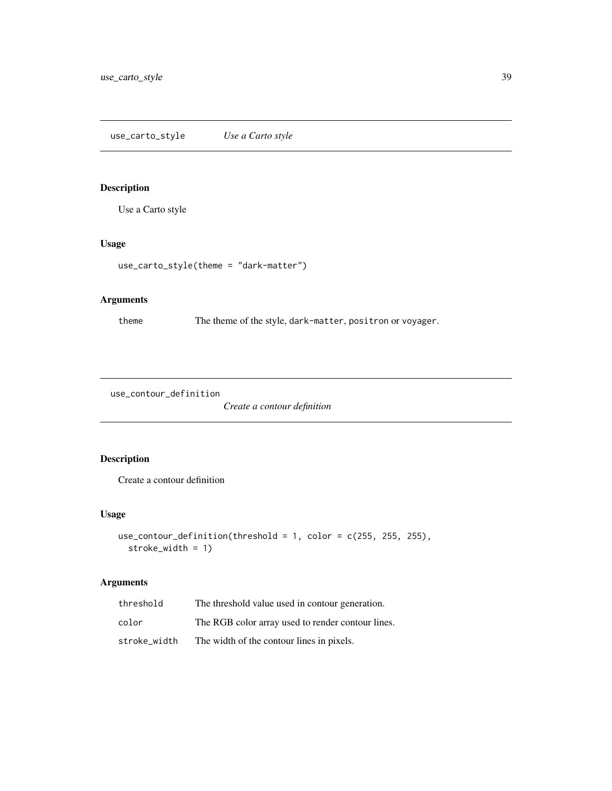### <span id="page-38-0"></span>Description

Use a Carto style

### Usage

```
use_carto_style(theme = "dark-matter")
```
### Arguments

theme The theme of the style, dark-matter, positron or voyager.

use\_contour\_definition

*Create a contour definition*

### Description

Create a contour definition

### Usage

```
use_contour_definition(threshold = 1, color = c(255, 255, 255),
  stroke_width = 1)
```

| threshold    | The threshold value used in contour generation.   |
|--------------|---------------------------------------------------|
| color        | The RGB color array used to render contour lines. |
| stroke width | The width of the contour lines in pixels.         |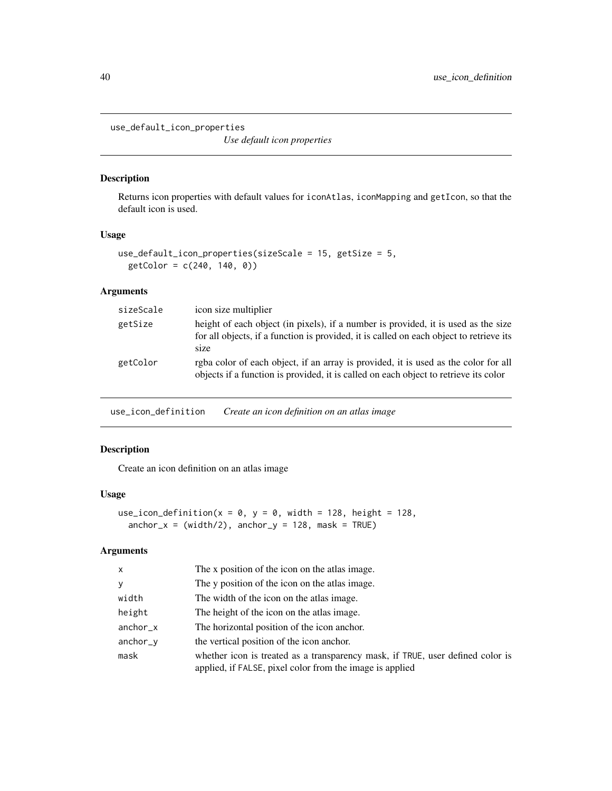<span id="page-39-0"></span>use\_default\_icon\_properties

*Use default icon properties*

#### Description

Returns icon properties with default values for iconAtlas, iconMapping and getIcon, so that the default icon is used.

#### Usage

```
use_default_icon_properties(sizeScale = 15, getSize = 5,
  getColor = c(240, 140, 0)
```
### Arguments

| sizeScale | icon size multiplier                                                                                                                                                                  |
|-----------|---------------------------------------------------------------------------------------------------------------------------------------------------------------------------------------|
| getSize   | height of each object (in pixels), if a number is provided, it is used as the size<br>for all objects, if a function is provided, it is called on each object to retrieve its<br>size |
| getColor  | rgba color of each object, if an array is provided, it is used as the color for all<br>objects if a function is provided, it is called on each object to retrieve its color           |

use\_icon\_definition *Create an icon definition on an atlas image*

### Description

Create an icon definition on an atlas image

### Usage

```
use_icon_definition(x = 0, y = 0, width = 128, height = 128,
  anchor_x = (width/2), anchor_y = 128, mask = TRUE)
```

| X          | The x position of the icon on the atlas image.                                                                                             |
|------------|--------------------------------------------------------------------------------------------------------------------------------------------|
| y          | The y position of the icon on the atlas image.                                                                                             |
| width      | The width of the icon on the atlas image.                                                                                                  |
| height     | The height of the icon on the atlas image.                                                                                                 |
| $anchor_x$ | The horizontal position of the icon anchor.                                                                                                |
| anchor_y   | the vertical position of the icon anchor.                                                                                                  |
| mask       | whether icon is treated as a transparency mask, if TRUE, user defined color is<br>applied, if FALSE, pixel color from the image is applied |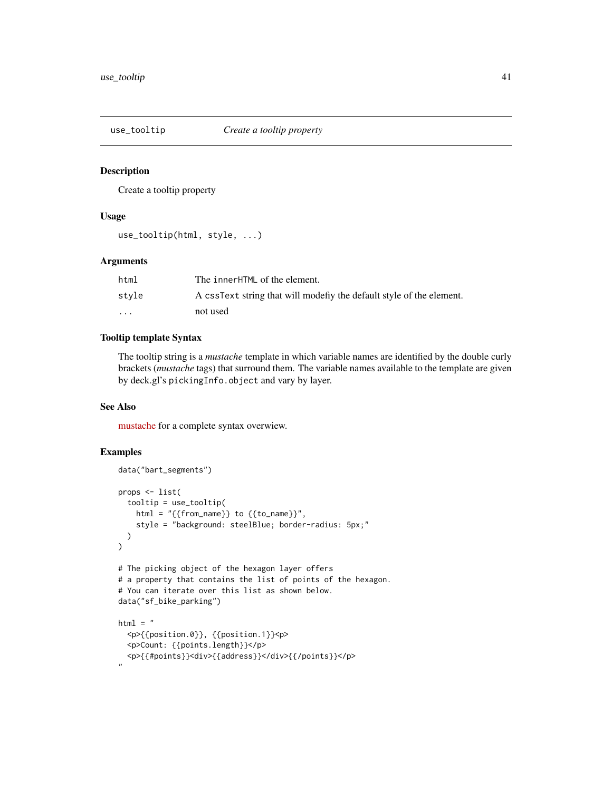<span id="page-40-1"></span><span id="page-40-0"></span>

#### Description

Create a tooltip property

#### Usage

```
use_tooltip(html, style, ...)
```
#### Arguments

| html                    | The innerHTML of the element.                                        |
|-------------------------|----------------------------------------------------------------------|
| style                   | A cssText string that will modefly the default style of the element. |
| $\cdot$ $\cdot$ $\cdot$ | not used                                                             |

#### Tooltip template Syntax

The tooltip string is a *mustache* template in which variable names are identified by the double curly brackets (*mustache* tags) that surround them. The variable names available to the template are given by deck.gl's pickingInfo.object and vary by layer.

### See Also

[mustache](https://github.com/janl/mustache.js) for a complete syntax overwiew.

```
data("bart_segments")
props <- list(
  tooltip = use_tooltip(
   html = "{\{from_name\}} to {\{to_name\}}",
    style = "background: steelBlue; border-radius: 5px;"
  )
)
# The picking object of the hexagon layer offers
# a property that contains the list of points of the hexagon.
# You can iterate over this list as shown below.
data("sf_bike_parking")
html = "<p>{{position.0}}, {{position.1}}<p>
  <p>Count: {{points.length}}</p>
  <p>{{#points}}<div>{{address}}</div>{{/points}}</p>
"
```